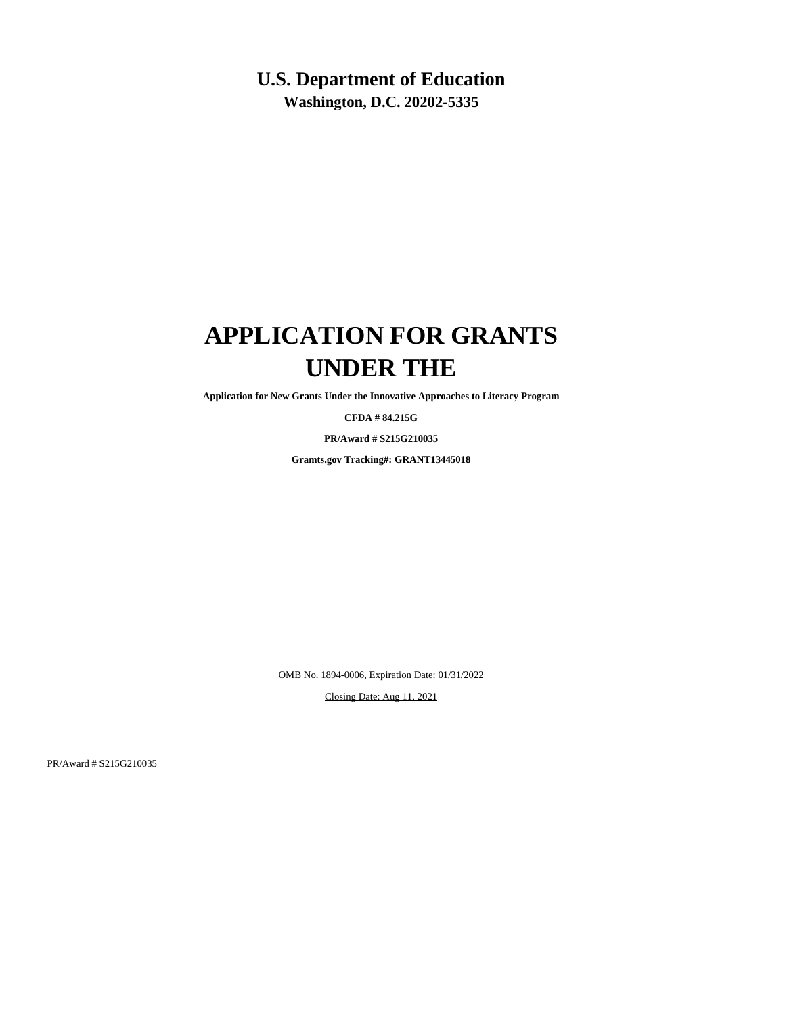## **U.S. Department of Education**

**Washington, D.C. 20202-5335**

## **APPLICATION FOR GRANTS UNDER THE**

**Application for New Grants Under the Innovative Approaches to Literacy Program**

**CFDA # 84.215G**

**PR/Award # S215G210035**

**Gramts.gov Tracking#: GRANT13445018**

OMB No. 1894-0006, Expiration Date: 01/31/2022

Closing Date: Aug 11, 2021

PR/Award # S215G210035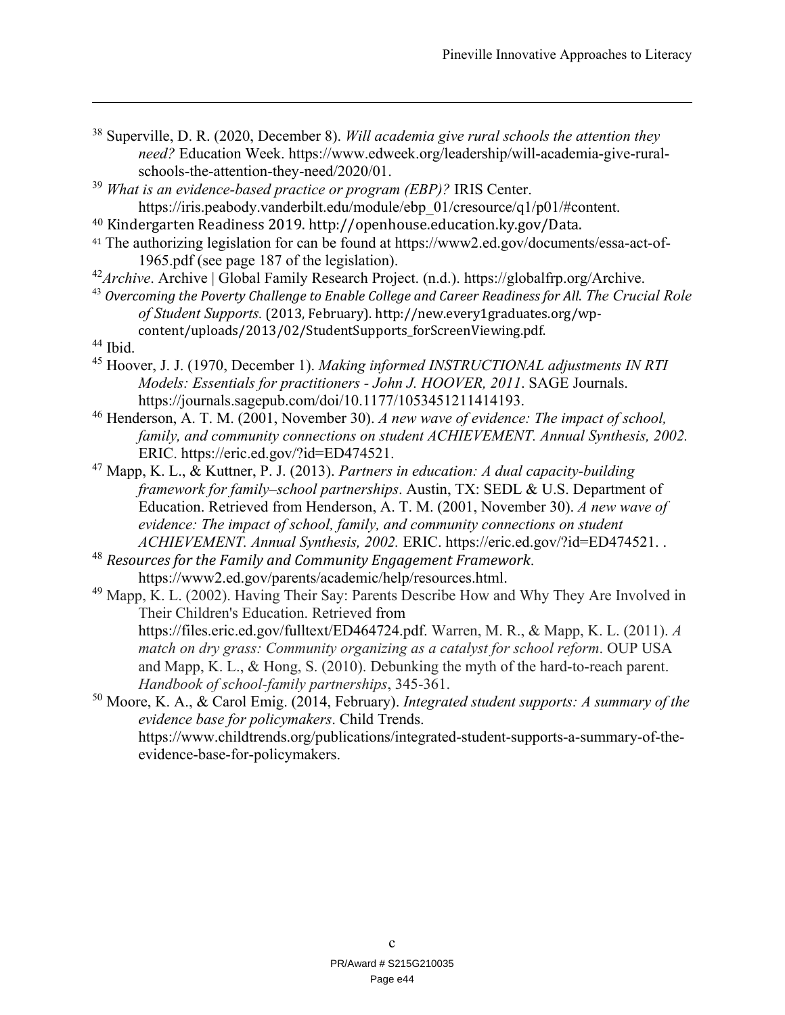- 38 Superville, D. R. (2020, December 8). *Will academia give rural schools the attention they need?* Education Week. https://www.edweek.org/leadership/will-academia-give-ruralschools-the-attention-they-need/2020/01.
- <sup>39</sup> *What is an evidence-based practice or program (EBP)?* IRIS Center. https://iris.peabody.vanderbilt.edu/module/ebp\_01/cresource/q1/p01/#content.
- 40 Kindergarten Readiness 2019. http://openhouse.education.ky.gov/Data.
- <sup>41</sup> The authorizing legislation for can be found at https://www2.ed.gov/documents/essa-act-of-1965.pdf (see page 187 of the legislation).
- <sup>42</sup>Archive. Archive | Global Family Research Project. (n.d.). https://globalfrp.org/Archive.
- <sup>43</sup> *Overcoming the Poverty Challenge to Enable College and Career Readiness for All*. *The Crucial Role of Student Supports.* (2013, February). http://new.every1graduates.org/wpcontent/uploads/2013/02/StudentSupports\_forScreenViewing.pdf.
- 44 Ibid.

 $\overline{a}$ 

- 45 Hoover, J. J. (1970, December 1). *Making informed INSTRUCTIONAL adjustments IN RTI Models: Essentials for practitioners - John J. HOOVER, 2011*. SAGE Journals. https://journals.sagepub.com/doi/10.1177/1053451211414193.
- 46 Henderson, A. T. M. (2001, November 30). *A new wave of evidence: The impact of school, family, and community connections on student ACHIEVEMENT. Annual Synthesis, 2002.* ERIC. https://eric.ed.gov/?id=ED474521.
- 47 Mapp, K. L., & Kuttner, P. J. (2013). *Partners in education: A dual capacity-building framework for family–school partnerships*. Austin, TX: SEDL & U.S. Department of Education. Retrieved from Henderson, A. T. M. (2001, November 30). *A new wave of evidence: The impact of school, family, and community connections on student ACHIEVEMENT. Annual Synthesis, 2002.* ERIC. https://eric.ed.gov/?id=ED474521. .
- <sup>48</sup> *Resources for the Family and Community Engagement Framework*. https://www2.ed.gov/parents/academic/help/resources.html.
- <sup>49</sup> Mapp, K. L. (2002). Having Their Say: Parents Describe How and Why They Are Involved in Their Children's Education. Retrieved from https://files.eric.ed.gov/fulltext/ED464724.pdf. Warren, M. R., & Mapp, K. L. (2011). *A match on dry grass: Community organizing as a catalyst for school reform*. OUP USA and Mapp, K. L., & Hong, S. (2010). Debunking the myth of the hard-to-reach parent. *Handbook of school-family partnerships*, 345-361.
- 50 Moore, K. A., & Carol Emig. (2014, February). *Integrated student supports: A summary of the evidence base for policymakers*. Child Trends. https://www.childtrends.org/publications/integrated-student-supports-a-summary-of-theevidence-base-for-policymakers.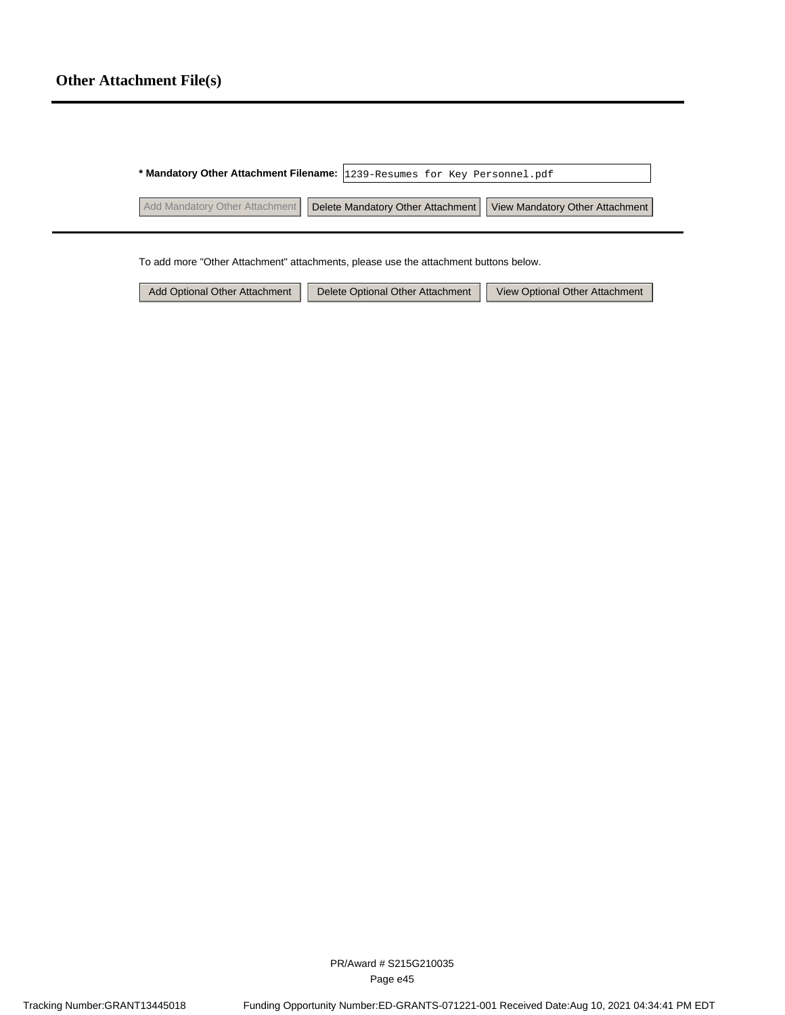## **Other Attachment File(s)**

|                                | * Mandatory Other Attachment Filename: 1239-Resumes for Key Personnel.pdf |  |
|--------------------------------|---------------------------------------------------------------------------|--|
| Add Mandatory Other Attachment | Delete Mandatory Other Attachment   View Mandatory Other Attachment       |  |

To add more "Other Attachment" attachments, please use the attachment buttons below.

| Add Optional Other Attachment | Delete Optional Other Attachment | View Optional Other Attachment |
|-------------------------------|----------------------------------|--------------------------------|
|-------------------------------|----------------------------------|--------------------------------|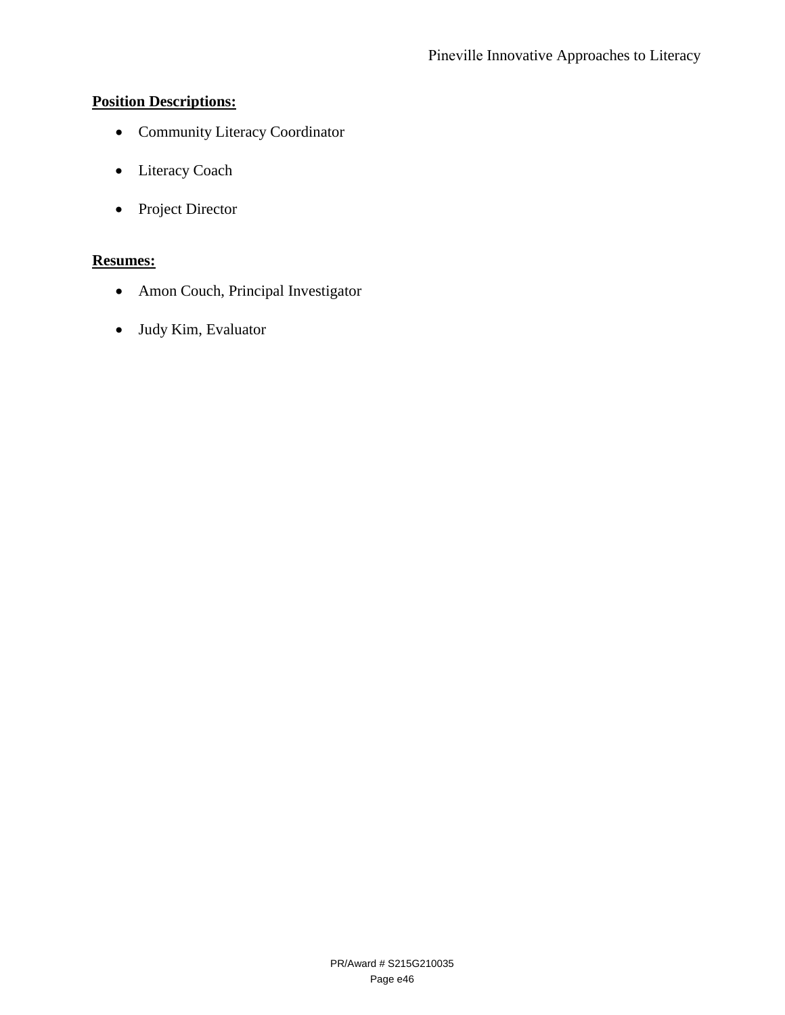## **Position Descriptions:**

- Community Literacy Coordinator
- Literacy Coach
- Project Director

## **Resumes:**

- Amon Couch, Principal Investigator
- Judy Kim, Evaluator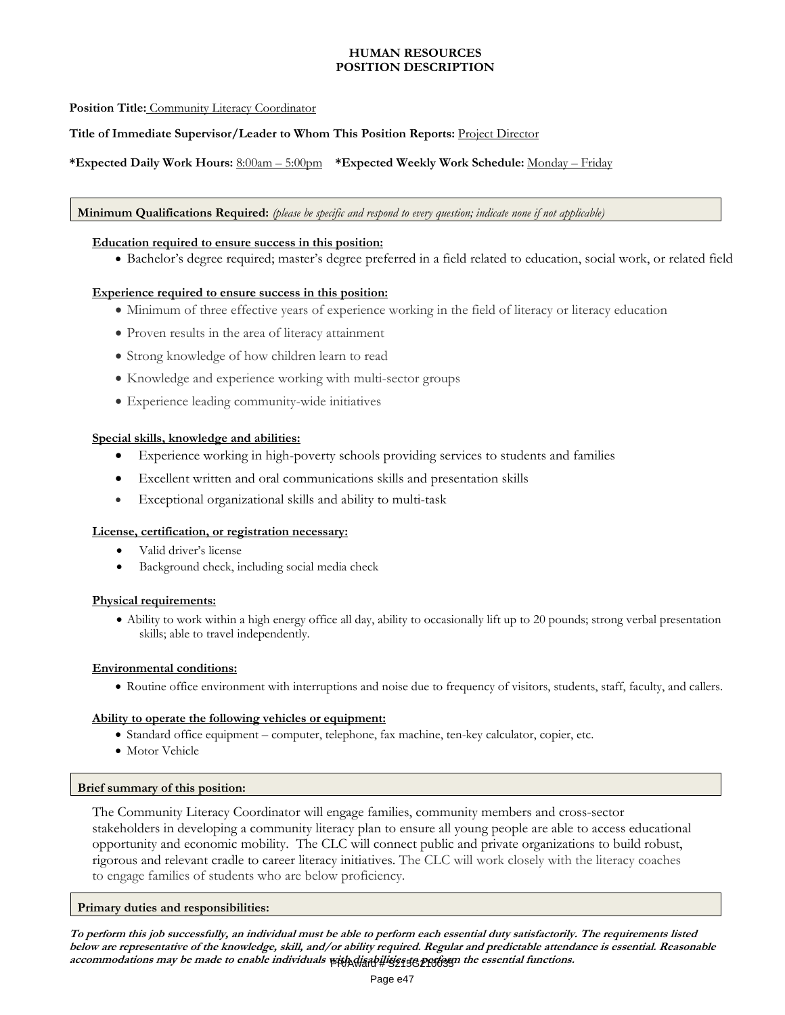## **HUMAN RESOURCES POSITION DESCRIPTION**

## **Position Title:** Community Literacy Coordinator

## **Title of Immediate Supervisor/Leader to Whom This Position Reports:** Project Director

## **\*Expected Daily Work Hours:** 8:00am – 5:00pm **\*Expected Weekly Work Schedule:** Monday – Friday

#### **Minimum Qualifications Required:** *(please be specific and respond to every question; indicate none if not applicable)*

#### **Education required to ensure success in this position:**

Bachelor's degree required; master's degree preferred in a field related to education, social work, or related field

### **Experience required to ensure success in this position:**

- Minimum of three effective years of experience working in the field of literacy or literacy education
- Proven results in the area of literacy attainment
- Strong knowledge of how children learn to read
- Knowledge and experience working with multi-sector groups
- Experience leading community-wide initiatives

#### **Special skills, knowledge and abilities:**

- Experience working in high-poverty schools providing services to students and families
- Excellent written and oral communications skills and presentation skills
- Exceptional organizational skills and ability to multi-task

## **License, certification, or registration necessary:**

- Valid driver's license
- Background check, including social media check

#### **Physical requirements:**

 Ability to work within a high energy office all day, ability to occasionally lift up to 20 pounds; strong verbal presentation skills; able to travel independently.

#### **Environmental conditions:**

Routine office environment with interruptions and noise due to frequency of visitors, students, staff, faculty, and callers.

#### **Ability to operate the following vehicles or equipment:**

- Standard office equipment computer, telephone, fax machine, ten-key calculator, copier, etc.
- Motor Vehicle

#### **Brief summary of this position:**

The Community Literacy Coordinator will engage families, community members and cross-sector stakeholders in developing a community literacy plan to ensure all young people are able to access educational opportunity and economic mobility. The CLC will connect public and private organizations to build robust, rigorous and relevant cradle to career literacy initiatives. The CLC will work closely with the literacy coaches to engage families of students who are below proficiency.

### **Primary duties and responsibilities:**

**To perform this job successfully, an individual must be able to perform each essential duty satisfactorily. The requirements listed below are representative of the knowledge, skill, and/or ability required. Regular and predictable attendance is essential. Reasonable**  accommodations may be made to enable individuals with diath it is a geography the essential functions.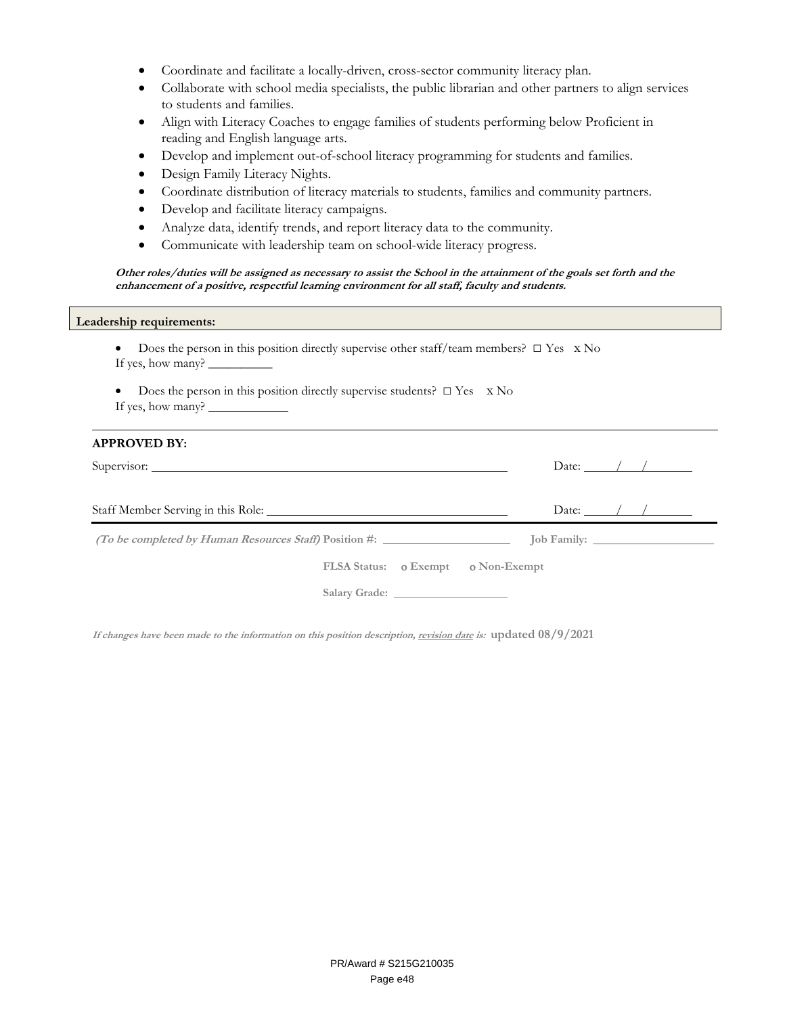- Coordinate and facilitate a locally-driven, cross-sector community literacy plan.
- Collaborate with school media specialists, the public librarian and other partners to align services to students and families.
- Align with Literacy Coaches to engage families of students performing below Proficient in reading and English language arts.
- Develop and implement out-of-school literacy programming for students and families.
- Design Family Literacy Nights.
- Coordinate distribution of literacy materials to students, families and community partners.
- Develop and facilitate literacy campaigns.
- Analyze data, identify trends, and report literacy data to the community.
- Communicate with leadership team on school-wide literacy progress.

**Other roles/duties will be assigned as necessary to assist the School in the attainment of the goals set forth and the enhancement of a positive, respectful learning environment for all staff, faculty and students.** 

### **Leadership requirements:**

- Does the person in this position directly supervise other staff/team members?□ Yes x No If yes, how many? \_
- Does the person in this position directly supervise students?  $\square$  Yes  $\times$  No If yes, how many?

| <b>APPROVED BY:</b>                |                             |
|------------------------------------|-----------------------------|
|                                    | Date: $\angle$ / /          |
|                                    | Date: $\angle$ / / $\angle$ |
|                                    |                             |
| FLSA Status: 0 Exempt 0 Non-Exempt |                             |
|                                    |                             |

**If changes have been made to the information on this position description, revision date is: updated 08/9/2021**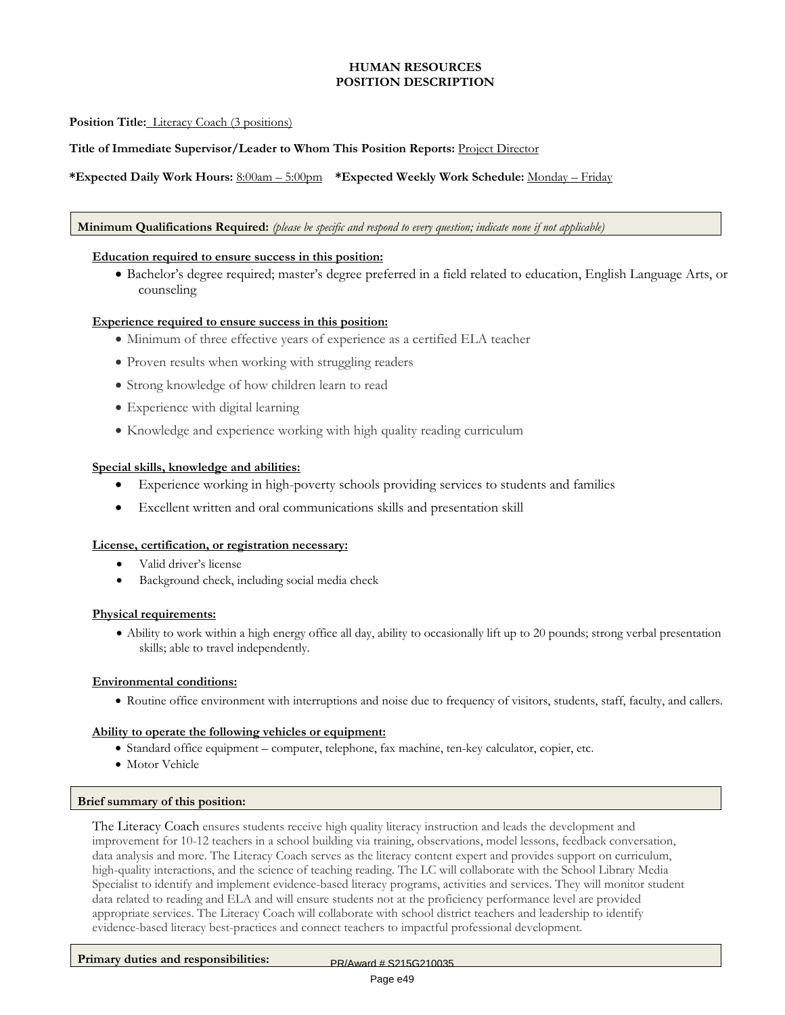## **HUMAN RESOURCES POSITION DESCRIPTION**

## **Position Title:** Literacy Coach (3 positions)

### **Title of Immediate Supervisor/Leader to Whom This Position Reports:** Project Director

## **\*Expected Daily Work Hours:** 8:00am – 5:00pm **\*Expected Weekly Work Schedule:** Monday – Friday

#### **Minimum Qualifications Required:** *(please be specific and respond to every question; indicate none if not applicable)*

#### **Education required to ensure success in this position:**

 Bachelor's degree required; master's degree preferred in a field related to education, English Language Arts, or counseling

#### **Experience required to ensure success in this position:**

- Minimum of three effective years of experience as a certified ELA teacher
- Proven results when working with struggling readers
- Strong knowledge of how children learn to read
- Experience with digital learning
- Knowledge and experience working with high quality reading curriculum

#### **Special skills, knowledge and abilities:**

- Experience working in high-poverty schools providing services to students and families
- Excellent written and oral communications skills and presentation skill

#### **License, certification, or registration necessary:**

- Valid driver's license
- Background check, including social media check

#### **Physical requirements:**

 Ability to work within a high energy office all day, ability to occasionally lift up to 20 pounds; strong verbal presentation skills; able to travel independently.

#### **Environmental conditions:**

Routine office environment with interruptions and noise due to frequency of visitors, students, staff, faculty, and callers.

#### **Ability to operate the following vehicles or equipment:**

- Standard office equipment computer, telephone, fax machine, ten-key calculator, copier, etc.
- Motor Vehicle

#### **Brief summary of this position:**

The Literacy Coach ensures students receive high quality literacy instruction and leads the development and improvement for 10-12 teachers in a school building via training, observations, model lessons, feedback conversation, data analysis and more. The Literacy Coach serves as the literacy content expert and provides support on curriculum, high-quality interactions, and the science of teaching reading. The LC will collaborate with the School Library Media Specialist to identify and implement evidence-based literacy programs, activities and services. They will monitor student data related to reading and ELA and will ensure students not at the proficiency performance level are provided appropriate services. The Literacy Coach will collaborate with school district teachers and leadership to identify evidence-based literacy best-practices and connect teachers to impactful professional development.

Primary duties and responsibilities: PR/Award # S215G210035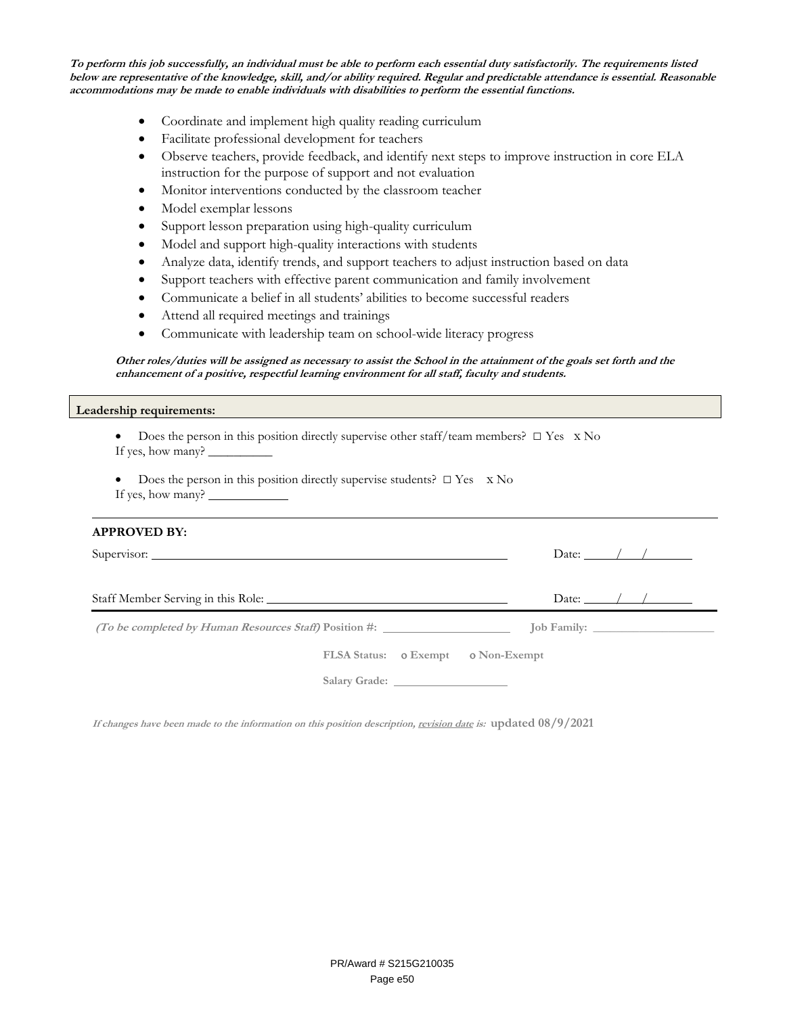**To perform this job successfully, an individual must be able to perform each essential duty satisfactorily. The requirements listed below are representative of the knowledge, skill, and/or ability required. Regular and predictable attendance is essential. Reasonable accommodations may be made to enable individuals with disabilities to perform the essential functions.** 

- Coordinate and implement high quality reading curriculum
- Facilitate professional development for teachers
- Observe teachers, provide feedback, and identify next steps to improve instruction in core ELA instruction for the purpose of support and not evaluation
- Monitor interventions conducted by the classroom teacher
- Model exemplar lessons
- Support lesson preparation using high-quality curriculum
- Model and support high-quality interactions with students
- Analyze data, identify trends, and support teachers to adjust instruction based on data
- Support teachers with effective parent communication and family involvement
- Communicate a belief in all students' abilities to become successful readers
- Attend all required meetings and trainings
- Communicate with leadership team on school-wide literacy progress

#### **Other roles/duties will be assigned as necessary to assist the School in the attainment of the goals set forth and the enhancement of a positive, respectful learning environment for all staff, faculty and students.**

#### **Leadership requirements:**

| • Does the person in this position directly supervise other staff/team members? $\Box$ Yes $\angle$ No |  |
|--------------------------------------------------------------------------------------------------------|--|
| If yes, how many? __                                                                                   |  |

Does the person in this position directly supervise students?  $\square$  Yes  $\times$  No If yes, how many?

## **APPROVED BY:**

| Supervisor:                        | Date: $\angle$ / / $\angle$ |
|------------------------------------|-----------------------------|
| Staff Member Serving in this Role: | Date: $\angle$ / / $\angle$ |
|                                    |                             |
| FLSA Status: 0 Exempt 0 Non-Exempt |                             |
|                                    |                             |

**If changes have been made to the information on this position description, revision date is: updated 08/9/2021**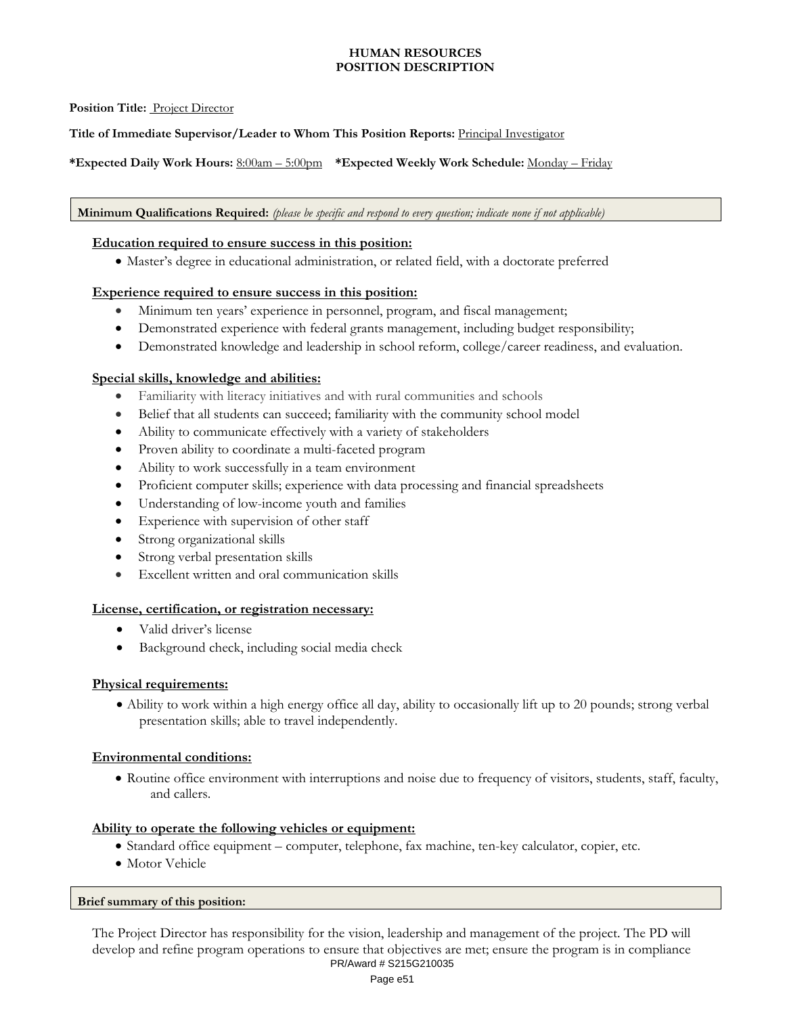## **HUMAN RESOURCES POSITION DESCRIPTION**

## **Position Title:** Project Director

**Title of Immediate Supervisor/Leader to Whom This Position Reports:** Principal Investigator

**\*Expected Daily Work Hours:** 8:00am – 5:00pm **\*Expected Weekly Work Schedule:** Monday – Friday

**Minimum Qualifications Required:** *(please be specific and respond to every question; indicate none if not applicable)*

## **Education required to ensure success in this position:**

Master's degree in educational administration, or related field, with a doctorate preferred

## **Experience required to ensure success in this position:**

- Minimum ten years' experience in personnel, program, and fiscal management;
- Demonstrated experience with federal grants management, including budget responsibility;
- Demonstrated knowledge and leadership in school reform, college/career readiness, and evaluation.

## **Special skills, knowledge and abilities:**

- Familiarity with literacy initiatives and with rural communities and schools
- Belief that all students can succeed; familiarity with the community school model
- Ability to communicate effectively with a variety of stakeholders
- Proven ability to coordinate a multi-faceted program
- Ability to work successfully in a team environment
- Proficient computer skills; experience with data processing and financial spreadsheets
- Understanding of low-income youth and families
- Experience with supervision of other staff
- Strong organizational skills
- Strong verbal presentation skills
- Excellent written and oral communication skills

## **License, certification, or registration necessary:**

- Valid driver's license
- Background check, including social media check

## **Physical requirements:**

 Ability to work within a high energy office all day, ability to occasionally lift up to 20 pounds; strong verbal presentation skills; able to travel independently.

## **Environmental conditions:**

 Routine office environment with interruptions and noise due to frequency of visitors, students, staff, faculty, and callers.

## **Ability to operate the following vehicles or equipment:**

- Standard office equipment computer, telephone, fax machine, ten-key calculator, copier, etc.
- Motor Vehicle

## **Brief summary of this position:**

The Project Director has responsibility for the vision, leadership and management of the project. The PD will develop and refine program operations to ensure that objectives are met; ensure the program is in compliance PR/Award # S215G210035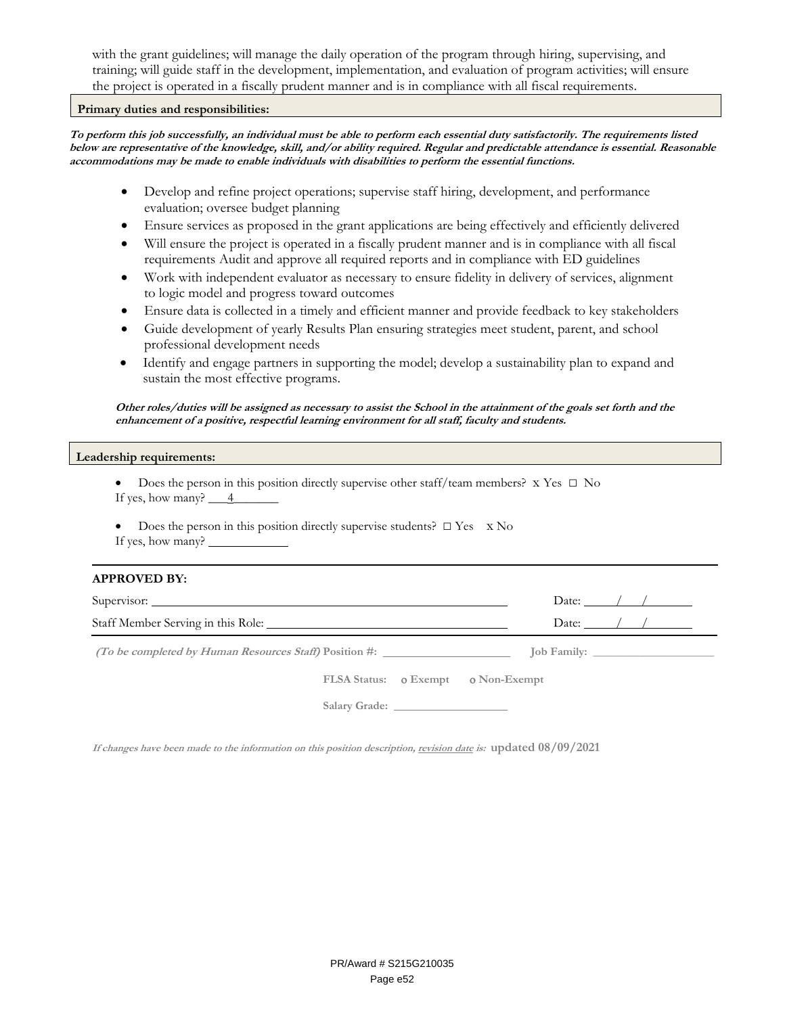with the grant guidelines; will manage the daily operation of the program through hiring, supervising, and training; will guide staff in the development, implementation, and evaluation of program activities; will ensure the project is operated in a fiscally prudent manner and is in compliance with all fiscal requirements.

### **Primary duties and responsibilities:**

**To perform this job successfully, an individual must be able to perform each essential duty satisfactorily. The requirements listed below are representative of the knowledge, skill, and/or ability required. Regular and predictable attendance is essential. Reasonable accommodations may be made to enable individuals with disabilities to perform the essential functions.** 

- Develop and refine project operations; supervise staff hiring, development, and performance evaluation; oversee budget planning
- Ensure services as proposed in the grant applications are being effectively and efficiently delivered
- Will ensure the project is operated in a fiscally prudent manner and is in compliance with all fiscal requirements Audit and approve all required reports and in compliance with ED guidelines
- Work with independent evaluator as necessary to ensure fidelity in delivery of services, alignment to logic model and progress toward outcomes
- Ensure data is collected in a timely and efficient manner and provide feedback to key stakeholders
- Guide development of yearly Results Plan ensuring strategies meet student, parent, and school professional development needs
- Identify and engage partners in supporting the model; develop a sustainability plan to expand and sustain the most effective programs.

**Other roles/duties will be assigned as necessary to assist the School in the attainment of the goals set forth and the enhancement of a positive, respectful learning environment for all staff, faculty and students.** 

#### **Leadership requirements:**

- Does the person in this position directly supervise other staff/team members?x Yes □ No If yes, how many?  $\frac{4}{-}$
- Does the person in this position directly supervise students?  $\square$  Yes  $\times$  No If yes, how many?

#### **APPROVED BY:**

| Supervisor:                        | Date: $\frac{1}{2}$ / |
|------------------------------------|-----------------------|
|                                    | Date: $\frac{1}{2}$ / |
|                                    |                       |
| FLSA Status: 0 Exempt 0 Non-Exempt |                       |
|                                    |                       |

**If changes have been made to the information on this position description, revision date is: updated 08/09/2021**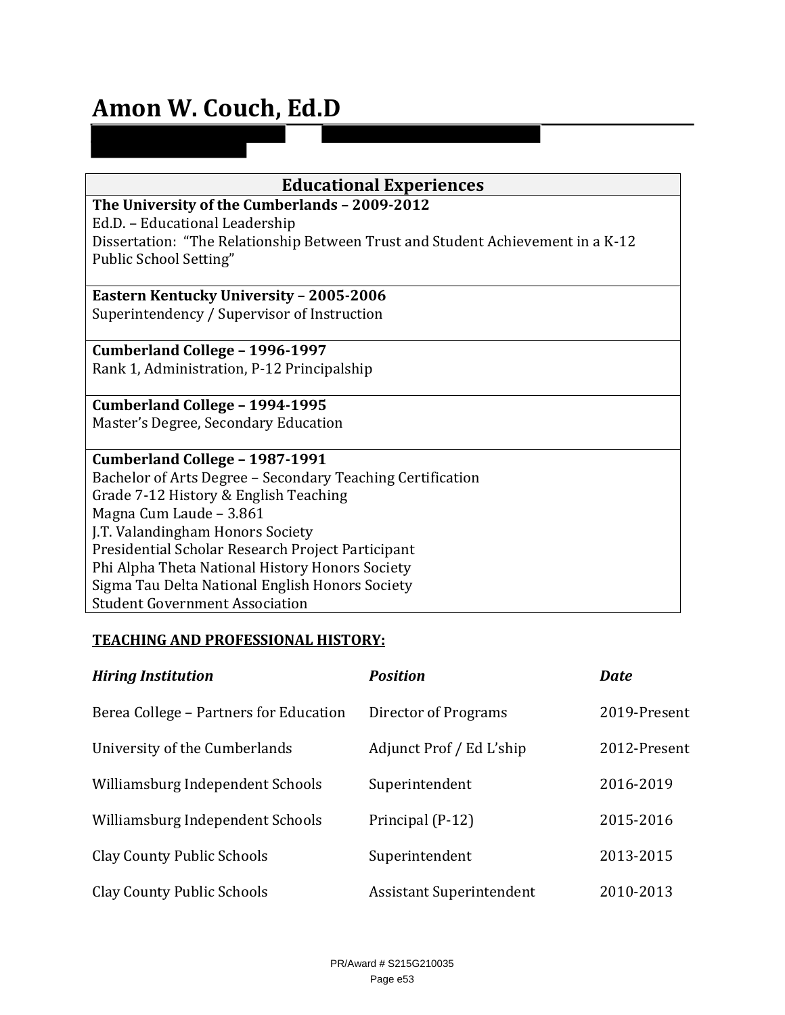# **Amon W. Couch, Ed.D**

| <b>Educational Experiences</b>                                                  |  |  |  |
|---------------------------------------------------------------------------------|--|--|--|
| The University of the Cumberlands - 2009-2012                                   |  |  |  |
| Ed.D. - Educational Leadership                                                  |  |  |  |
| Dissertation: "The Relationship Between Trust and Student Achievement in a K-12 |  |  |  |
| Public School Setting"                                                          |  |  |  |
|                                                                                 |  |  |  |
| <b>Eastern Kentucky University - 2005-2006</b>                                  |  |  |  |
| Superintendency / Supervisor of Instruction                                     |  |  |  |
|                                                                                 |  |  |  |
| Cumberland College - 1996-1997                                                  |  |  |  |
| Rank 1, Administration, P-12 Principalship                                      |  |  |  |
|                                                                                 |  |  |  |
| Cumberland College - 1994-1995                                                  |  |  |  |
| Master's Degree, Secondary Education                                            |  |  |  |
|                                                                                 |  |  |  |
| Cumberland College - 1987-1991                                                  |  |  |  |
| Bachelor of Arts Degree - Secondary Teaching Certification                      |  |  |  |
| Grade 7-12 History & English Teaching                                           |  |  |  |
| Magna Cum Laude - 3.861                                                         |  |  |  |
| J.T. Valandingham Honors Society                                                |  |  |  |
| Presidential Scholar Research Project Participant                               |  |  |  |
| Phi Alpha Theta National History Honors Society                                 |  |  |  |
| Sigma Tau Delta National English Honors Society                                 |  |  |  |
| <b>Student Government Association</b>                                           |  |  |  |

## **TEACHING AND PROFESSIONAL HISTORY:**

| <b>Hiring Institution</b>              | <b>Position</b>                 | <b>Date</b>  |
|----------------------------------------|---------------------------------|--------------|
| Berea College – Partners for Education | Director of Programs            | 2019-Present |
| University of the Cumberlands          | Adjunct Prof / Ed L'ship        | 2012-Present |
| Williamsburg Independent Schools       | Superintendent                  | 2016-2019    |
| Williamsburg Independent Schools       | Principal (P-12)                | 2015-2016    |
| <b>Clay County Public Schools</b>      | Superintendent                  | 2013-2015    |
| <b>Clay County Public Schools</b>      | <b>Assistant Superintendent</b> | 2010-2013    |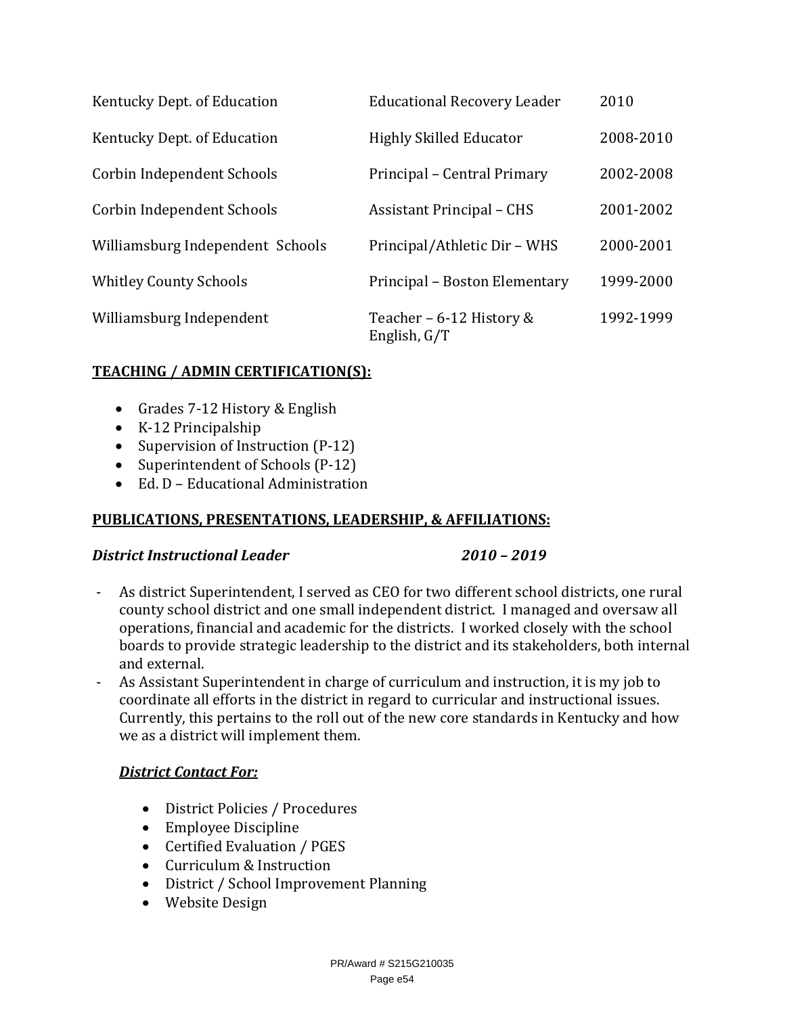| Kentucky Dept. of Education      | <b>Educational Recovery Leader</b>       | 2010      |
|----------------------------------|------------------------------------------|-----------|
| Kentucky Dept. of Education      | <b>Highly Skilled Educator</b>           | 2008-2010 |
| Corbin Independent Schools       | Principal – Central Primary              | 2002-2008 |
| Corbin Independent Schools       | <b>Assistant Principal - CHS</b>         | 2001-2002 |
| Williamsburg Independent Schools | Principal/Athletic Dir - WHS             | 2000-2001 |
| <b>Whitley County Schools</b>    | Principal – Boston Elementary            | 1999-2000 |
| Williamsburg Independent         | Teacher - 6-12 History &<br>English, G/T | 1992-1999 |

## **TEACHING / ADMIN CERTIFICATION(S):**

- Grades 7-12 History & English
- K-12 Principalship
- Supervision of Instruction (P-12)
- Superintendent of Schools (P-12)
- Ed. D Educational Administration

## **PUBLICATIONS, PRESENTATIONS, LEADERSHIP, & AFFILIATIONS:**

## *District Instructional Leader 2010 – 2019*

- As district Superintendent, I served as CEO for two different school districts, one rural county school district and one small independent district. I managed and oversaw all operations, financial and academic for the districts. I worked closely with the school boards to provide strategic leadership to the district and its stakeholders, both internal and external.
- As Assistant Superintendent in charge of curriculum and instruction, it is my job to coordinate all efforts in the district in regard to curricular and instructional issues. Currently, this pertains to the roll out of the new core standards in Kentucky and how we as a district will implement them.

## *District Contact For:*

- District Policies / Procedures
- Employee Discipline
- Certified Evaluation / PGES
- Curriculum & Instruction
- District / School Improvement Planning
- Website Design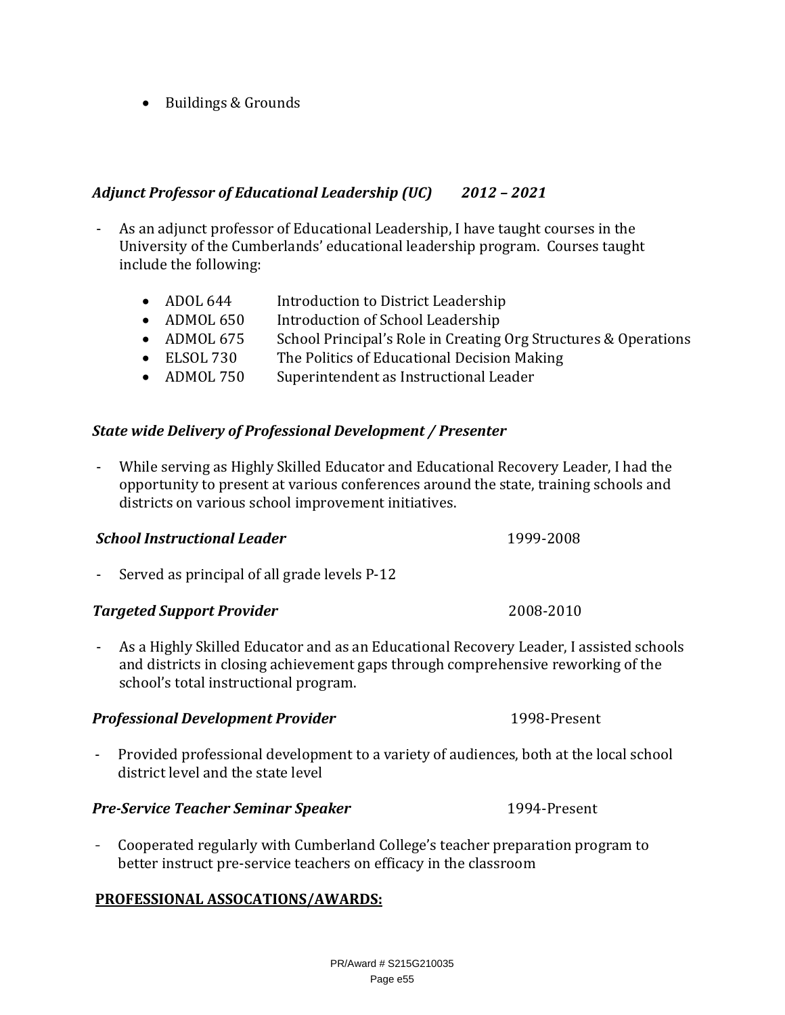PR/Award # S215G210035 Page e55

• Buildings & Grounds

## *Adjunct Professor of Educational Leadership (UC) 2012 – 2021*

- As an adjunct professor of Educational Leadership, I have taught courses in the University of the Cumberlands' educational leadership program. Courses taught include the following:
	- ADOL 644 Introduction to District Leadership
	- ADMOL 650 Introduction of School Leadership
	- ADMOL 675 School Principal's Role in Creating Org Structures & Operations
	- ELSOL 730 The Politics of Educational Decision Making
	- ADMOL 750 Superintendent as Instructional Leader

## *State wide Delivery of Professional Development / Presenter*

- While serving as Highly Skilled Educator and Educational Recovery Leader, I had the opportunity to present at various conferences around the state, training schools and districts on various school improvement initiatives.

## *School Instructional Leader* 1999-2008

- Served as principal of all grade levels P-12

## **Targeted Support Provider** *COOS-2010 COOS-2010*

- As a Highly Skilled Educator and as an Educational Recovery Leader, I assisted schools and districts in closing achievement gaps through comprehensive reworking of the school's total instructional program.

## **Professional Development Provider** 1998-Present

- Provided professional development to a variety of audiences, both at the local school district level and the state level

## *Pre‐Service Teacher Seminar Speaker* 1994-Present

- Cooperated regularly with Cumberland College's teacher preparation program to better instruct pre-service teachers on efficacy in the classroom

## **PROFESSIONAL ASSOCATIONS/AWARDS:**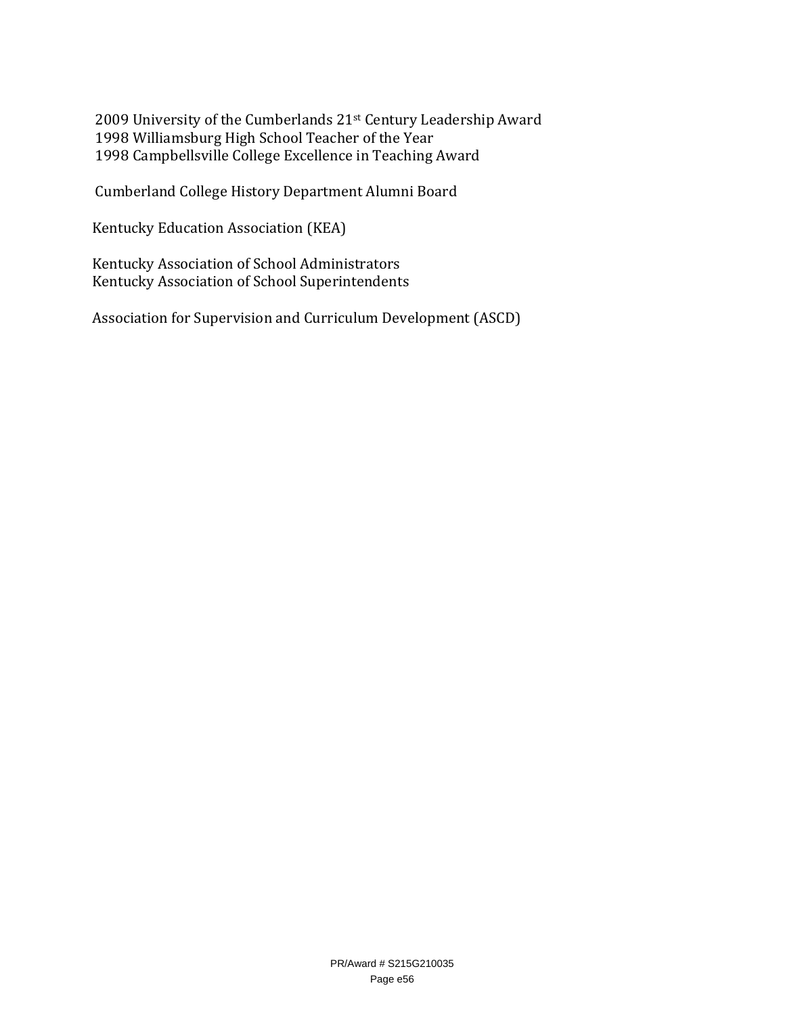2009 University of the Cumberlands 21st Century Leadership Award 1998 Williamsburg High School Teacher of the Year 1998 Campbellsville College Excellence in Teaching Award

Cumberland College History Department Alumni Board

Kentucky Education Association (KEA)

Kentucky Association of School Administrators Kentucky Association of School Superintendents

Association for Supervision and Curriculum Development (ASCD)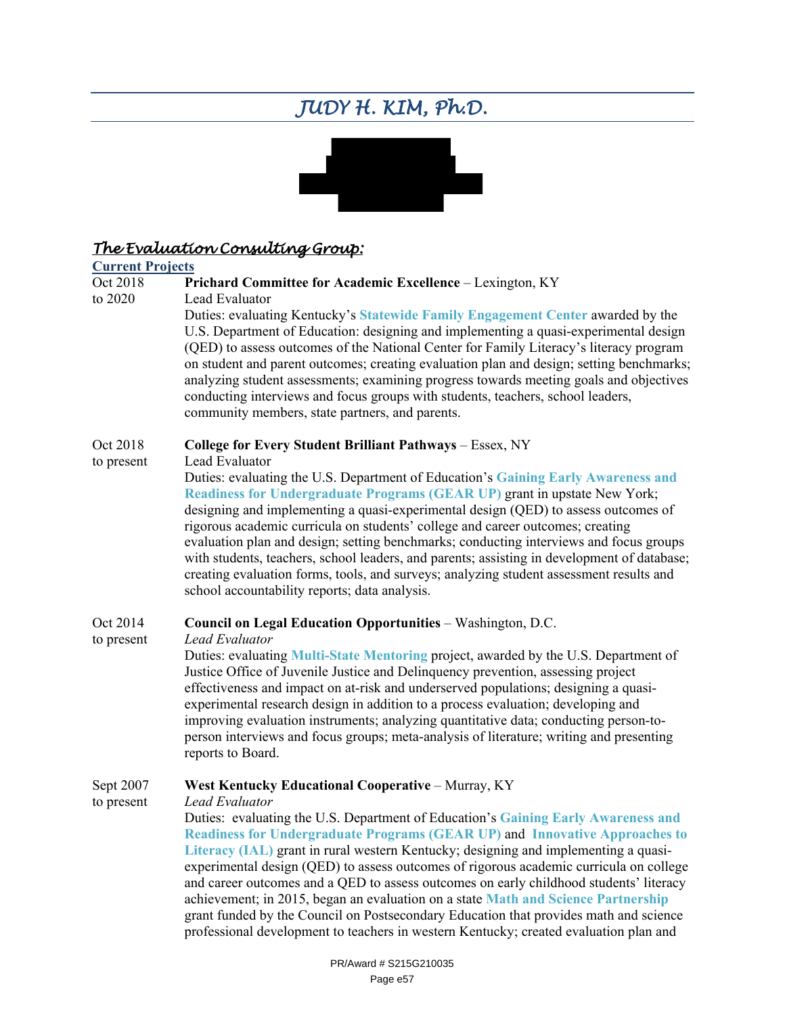# *JUDY H. KIM, Ph.D.*



## *The Evaluation Consulting Group:*

# **Current Projects**

## Prichard Committee for Academic Excellence - Lexington, KY

to 2020 Lead Evaluator

Duties: evaluating Kentucky's **Statewide Family Engagement Center** awarded by the U.S. Department of Education: designing and implementing a quasi-experimental design (QED) to assess outcomes of the National Center for Family Literacy's literacy program on student and parent outcomes; creating evaluation plan and design; setting benchmarks; analyzing student assessments; examining progress towards meeting goals and objectives conducting interviews and focus groups with students, teachers, school leaders, community members, state partners, and parents.

## Oct 2018 **College for Every Student Brilliant Pathways** – Essex, NY

to present Lead Evaluator

Duties: evaluating the U.S. Department of Education's **Gaining Early Awareness and Readiness for Undergraduate Programs (GEAR UP)** grant in upstate New York; designing and implementing a quasi-experimental design (QED) to assess outcomes of rigorous academic curricula on students' college and career outcomes; creating evaluation plan and design; setting benchmarks; conducting interviews and focus groups with students, teachers, school leaders, and parents; assisting in development of database; creating evaluation forms, tools, and surveys; analyzing student assessment results and school accountability reports; data analysis.

## Oct 2014 **Council on Legal Education Opportunities** – Washington, D.C.

to present *Lead Evaluator*

Duties: evaluating **Multi-State Mentoring** project, awarded by the U.S. Department of Justice Office of Juvenile Justice and Delinquency prevention, assessing project effectiveness and impact on at-risk and underserved populations; designing a quasiexperimental research design in addition to a process evaluation; developing and improving evaluation instruments; analyzing quantitative data; conducting person-toperson interviews and focus groups; meta-analysis of literature; writing and presenting reports to Board.

## Sept 2007 **West Kentucky Educational Cooperative** – Murray, KY

to present *Lead Evaluator* Duties: evaluating the U.S. Department of Education's **Gaining Early Awareness and Readiness for Undergraduate Programs (GEAR UP)** and **Innovative Approaches to Literacy (IAL)** grant in rural western Kentucky; designing and implementing a quasiexperimental design (QED) to assess outcomes of rigorous academic curricula on college and career outcomes and a QED to assess outcomes on early childhood students' literacy achievement; in 2015, began an evaluation on a state **Math and Science Partnership** grant funded by the Council on Postsecondary Education that provides math and science professional development to teachers in western Kentucky; created evaluation plan and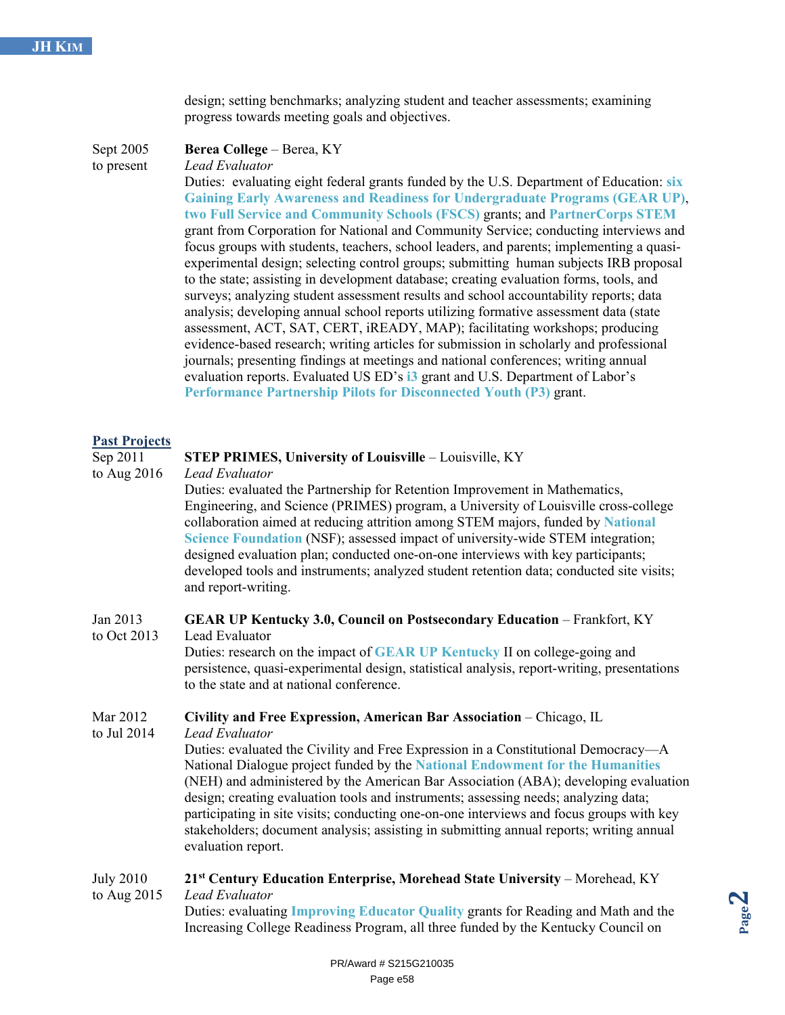design; setting benchmarks; analyzing student and teacher assessments; examining progress towards meeting goals and objectives.

Sept 2005 **Berea College** – Berea, KY

to present *Lead Evaluator*

Duties: evaluating eight federal grants funded by the U.S. Department of Education: **six Gaining Early Awareness and Readiness for Undergraduate Programs (GEAR UP)**, **two Full Service and Community Schools (FSCS)** grants; and **PartnerCorps STEM** grant from Corporation for National and Community Service; conducting interviews and focus groups with students, teachers, school leaders, and parents; implementing a quasiexperimental design; selecting control groups; submitting human subjects IRB proposal to the state; assisting in development database; creating evaluation forms, tools, and surveys; analyzing student assessment results and school accountability reports; data analysis; developing annual school reports utilizing formative assessment data (state assessment, ACT, SAT, CERT, iREADY, MAP); facilitating workshops; producing evidence-based research; writing articles for submission in scholarly and professional journals; presenting findings at meetings and national conferences; writing annual evaluation reports. Evaluated US ED's **i3** grant and U.S. Department of Labor's **Performance Partnership Pilots for Disconnected Youth (P3)** grant.

## **Past Projects**

## Sep 2011 **STEP PRIMES, University of Louisville** – Louisville, KY

to Aug 2016 *Lead Evaluator*

Duties: evaluated the Partnership for Retention Improvement in Mathematics, Engineering, and Science (PRIMES) program, a University of Louisville cross-college collaboration aimed at reducing attrition among STEM majors, funded by **National Science Foundation** (NSF); assessed impact of university-wide STEM integration; designed evaluation plan; conducted one-on-one interviews with key participants; developed tools and instruments; analyzed student retention data; conducted site visits; and report-writing.

## Jan 2013 **GEAR UP Kentucky 3.0, Council on Postsecondary Education** – Frankfort, KY

to Oct 2013 Lead Evaluator Duties: research on the impact of **GEAR UP Kentucky** II on college-going and persistence, quasi-experimental design, statistical analysis, report-writing, presentations to the state and at national conference.

## Mar 2012 **Civility and Free Expression, American Bar Association** – Chicago, IL

to Jul 2014 *Lead Evaluator*

Duties: evaluated the Civility and Free Expression in a Constitutional Democracy—A National Dialogue project funded by the **National Endowment for the Humanities** (NEH) and administered by the American Bar Association (ABA); developing evaluation design; creating evaluation tools and instruments; assessing needs; analyzing data; participating in site visits; conducting one-on-one interviews and focus groups with key stakeholders; document analysis; assisting in submitting annual reports; writing annual evaluation report.

## July 2010 **21st Century Education Enterprise, Morehead State University** – Morehead, KY to Aug 2015 *Lead Evaluator*

Duties: evaluating **Improving Educator Quality** grants for Reading and Math and the Increasing College Readiness Program, all three funded by the Kentucky Council on

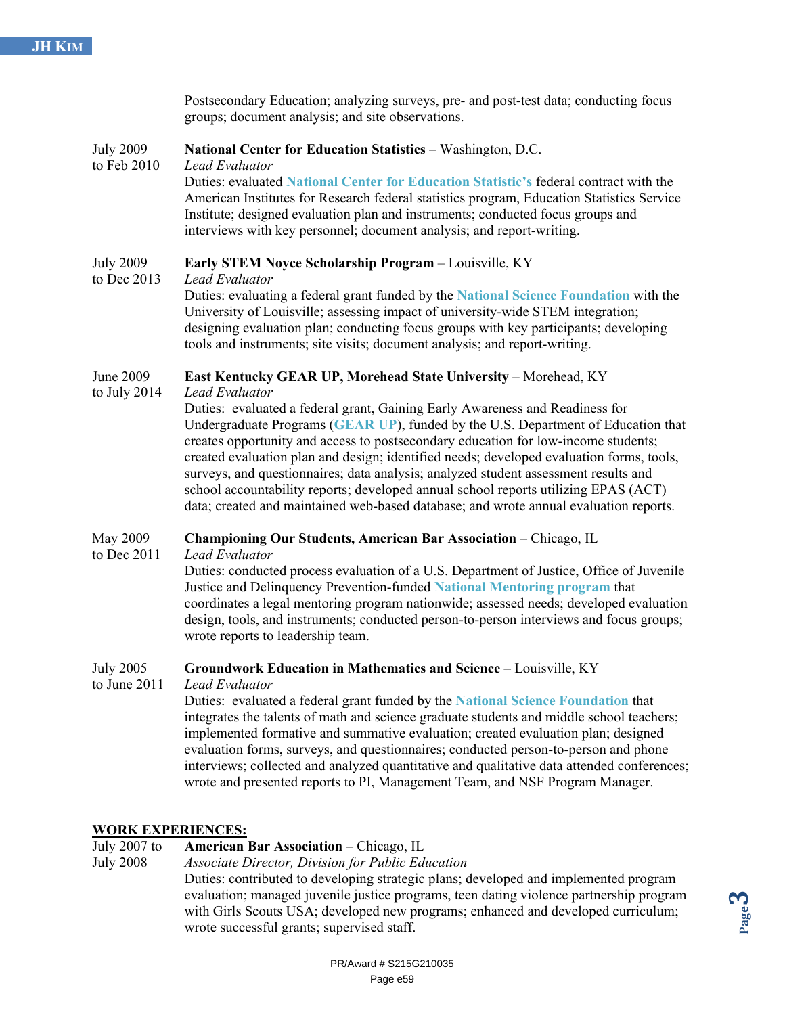|                                 | Postsecondary Education; analyzing surveys, pre- and post-test data; conducting focus<br>groups; document analysis; and site observations.                                                                                                                                                                                                                                                                                                                                                                                                                                                                                                                                                                             |
|---------------------------------|------------------------------------------------------------------------------------------------------------------------------------------------------------------------------------------------------------------------------------------------------------------------------------------------------------------------------------------------------------------------------------------------------------------------------------------------------------------------------------------------------------------------------------------------------------------------------------------------------------------------------------------------------------------------------------------------------------------------|
| <b>July 2009</b><br>to Feb 2010 | <b>National Center for Education Statistics - Washington, D.C.</b><br>Lead Evaluator<br>Duties: evaluated National Center for Education Statistic's federal contract with the<br>American Institutes for Research federal statistics program, Education Statistics Service<br>Institute; designed evaluation plan and instruments; conducted focus groups and<br>interviews with key personnel; document analysis; and report-writing.                                                                                                                                                                                                                                                                                 |
| <b>July 2009</b><br>to Dec 2013 | <b>Early STEM Noyce Scholarship Program</b> – Louisville, KY<br>Lead Evaluator<br>Duties: evaluating a federal grant funded by the National Science Foundation with the<br>University of Louisville; assessing impact of university-wide STEM integration;<br>designing evaluation plan; conducting focus groups with key participants; developing<br>tools and instruments; site visits; document analysis; and report-writing.                                                                                                                                                                                                                                                                                       |
| June 2009<br>to July $2014$     | <b>East Kentucky GEAR UP, Morehead State University - Morehead, KY</b><br>Lead Evaluator<br>Duties: evaluated a federal grant, Gaining Early Awareness and Readiness for<br>Undergraduate Programs (GEAR UP), funded by the U.S. Department of Education that<br>creates opportunity and access to postsecondary education for low-income students;<br>created evaluation plan and design; identified needs; developed evaluation forms, tools,<br>surveys, and questionnaires; data analysis; analyzed student assessment results and<br>school accountability reports; developed annual school reports utilizing EPAS (ACT)<br>data; created and maintained web-based database; and wrote annual evaluation reports. |
| May 2009<br>to Dec 2011         | Championing Our Students, American Bar Association - Chicago, IL<br>Lead Evaluator<br>Duties: conducted process evaluation of a U.S. Department of Justice, Office of Juvenile<br>Justice and Delinguency Prevention-funded National Mentoring program that                                                                                                                                                                                                                                                                                                                                                                                                                                                            |

Justice and Delinquency Prevention-funded **National Mentoring program** that coordinates a legal mentoring program nationwide; assessed needs; developed evaluation design, tools, and instruments; conducted person-to-person interviews and focus groups; wrote reports to leadership team.

## July 2005 **Groundwork Education in Mathematics and Science** – Louisville, KY

to June 2011 *Lead Evaluator*

Duties: evaluated a federal grant funded by the **National Science Foundation** that integrates the talents of math and science graduate students and middle school teachers; implemented formative and summative evaluation; created evaluation plan; designed evaluation forms, surveys, and questionnaires; conducted person-to-person and phone interviews; collected and analyzed quantitative and qualitative data attended conferences; wrote and presented reports to PI, Management Team, and NSF Program Manager.

## **WORK EXPERIENCES:**

July 2007 to **American Bar Association** – Chicago, IL

July 2008 *Associate Director, Division for Public Education*

Duties: contributed to developing strategic plans; developed and implemented program evaluation; managed juvenile justice programs, teen dating violence partnership program with Girls Scouts USA; developed new programs; enhanced and developed curriculum; wrote successful grants; supervised staff.

**Page** <u>ლ</u>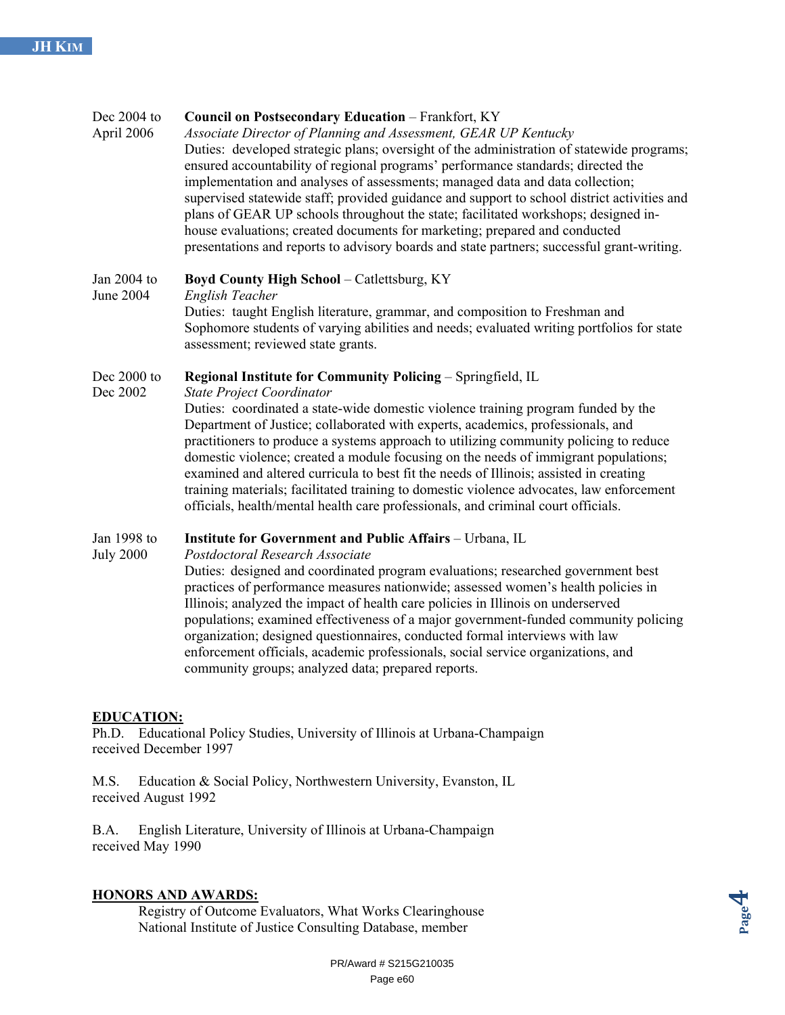## Dec 2004 to **Council on Postsecondary Education** – Frankfort, KY April 2006 *Associate Director of Planning and Assessment, GEAR UP Kentucky* Duties: developed strategic plans; oversight of the administration of statewide programs; ensured accountability of regional programs' performance standards; directed the implementation and analyses of assessments; managed data and data collection; supervised statewide staff; provided guidance and support to school district activities and plans of GEAR UP schools throughout the state; facilitated workshops; designed inhouse evaluations; created documents for marketing; prepared and conducted presentations and reports to advisory boards and state partners; successful grant-writing. Jan 2004 to **Boyd County High School** – Catlettsburg, KY June 2004 *English Teacher* Duties: taught English literature, grammar, and composition to Freshman and Sophomore students of varying abilities and needs; evaluated writing portfolios for state assessment; reviewed state grants. Dec 2000 to **Regional Institute for Community Policing** – Springfield, IL Dec 2002 *State Project Coordinator* Duties: coordinated a state-wide domestic violence training program funded by the Department of Justice; collaborated with experts, academics, professionals, and practitioners to produce a systems approach to utilizing community policing to reduce domestic violence; created a module focusing on the needs of immigrant populations; examined and altered curricula to best fit the needs of Illinois; assisted in creating training materials; facilitated training to domestic violence advocates, law enforcement officials, health/mental health care professionals, and criminal court officials. Jan 1998 to **Institute for Government and Public Affairs** – Urbana, IL

July 2000 *Postdoctoral Research Associate*

Duties: designed and coordinated program evaluations; researched government best practices of performance measures nationwide; assessed women's health policies in Illinois; analyzed the impact of health care policies in Illinois on underserved populations; examined effectiveness of a major government-funded community policing organization; designed questionnaires, conducted formal interviews with law enforcement officials, academic professionals, social service organizations, and community groups; analyzed data; prepared reports.

## **EDUCATION:**

Ph.D. Educational Policy Studies, University of Illinois at Urbana-Champaign received December 1997

M.S. Education & Social Policy, Northwestern University, Evanston, IL received August 1992

B.A. English Literature, University of Illinois at Urbana-Champaign received May 1990

## **HONORS AND AWARDS:**

Registry of Outcome Evaluators, What Works Clearinghouse National Institute of Justice Consulting Database, member

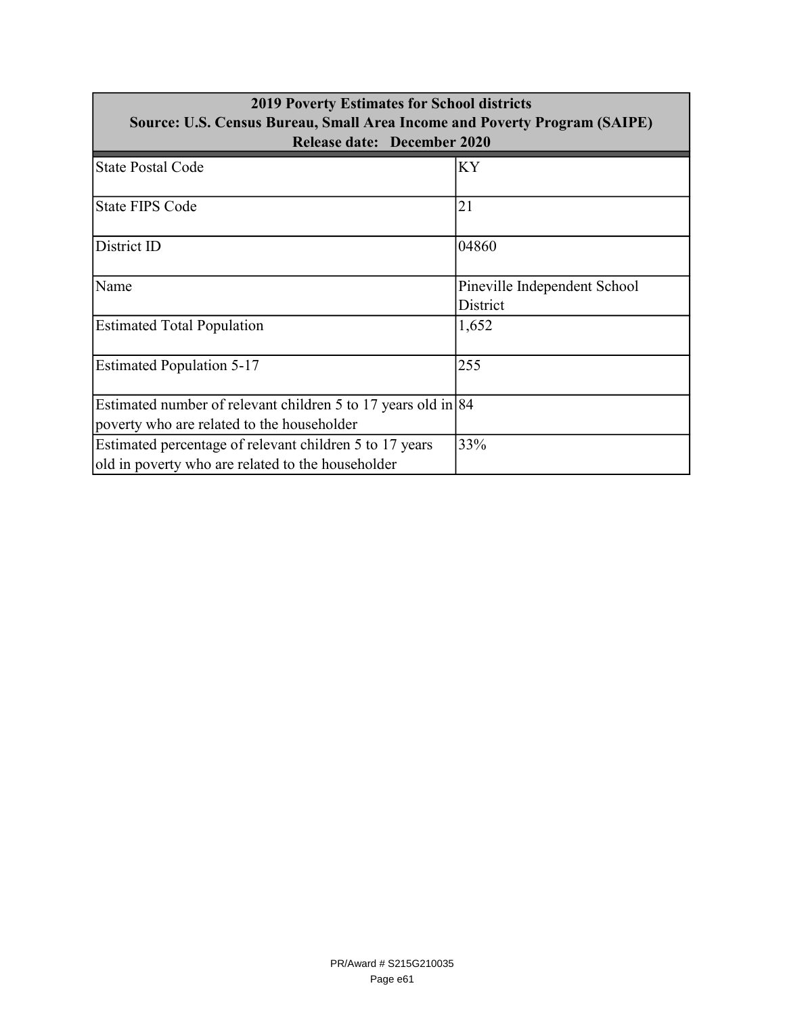| <b>2019 Poverty Estimates for School districts</b>                        |                              |  |
|---------------------------------------------------------------------------|------------------------------|--|
| Source: U.S. Census Bureau, Small Area Income and Poverty Program (SAIPE) |                              |  |
| <b>Release date: December 2020</b>                                        |                              |  |
| <b>State Postal Code</b>                                                  | KY                           |  |
| <b>State FIPS Code</b>                                                    | 21                           |  |
| District ID                                                               | 04860                        |  |
| Name                                                                      | Pineville Independent School |  |
|                                                                           | District                     |  |
| <b>Estimated Total Population</b>                                         | 1,652                        |  |
| <b>Estimated Population 5-17</b>                                          | 255                          |  |
| Estimated number of relevant children 5 to 17 years old in $ 84 $         |                              |  |
| poverty who are related to the householder                                |                              |  |
| Estimated percentage of relevant children 5 to 17 years                   | 33%                          |  |
| old in poverty who are related to the householder                         |                              |  |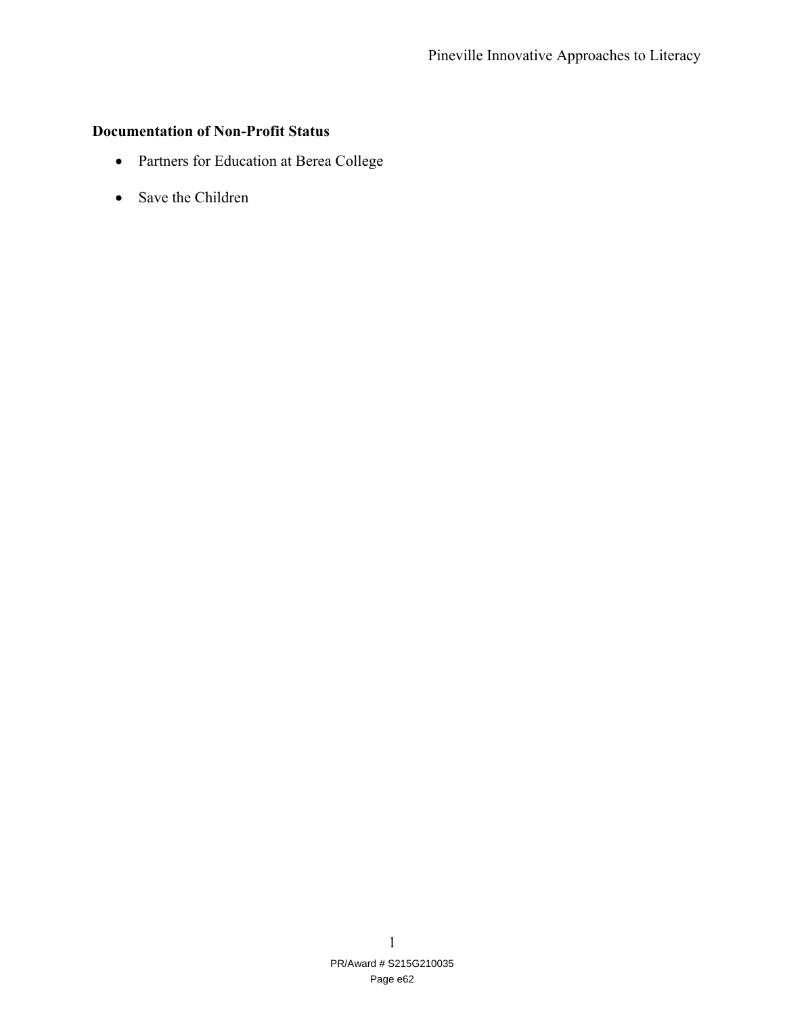## **Documentation of Non-Profit Status**

- Partners for Education at Berea College
- Save the Children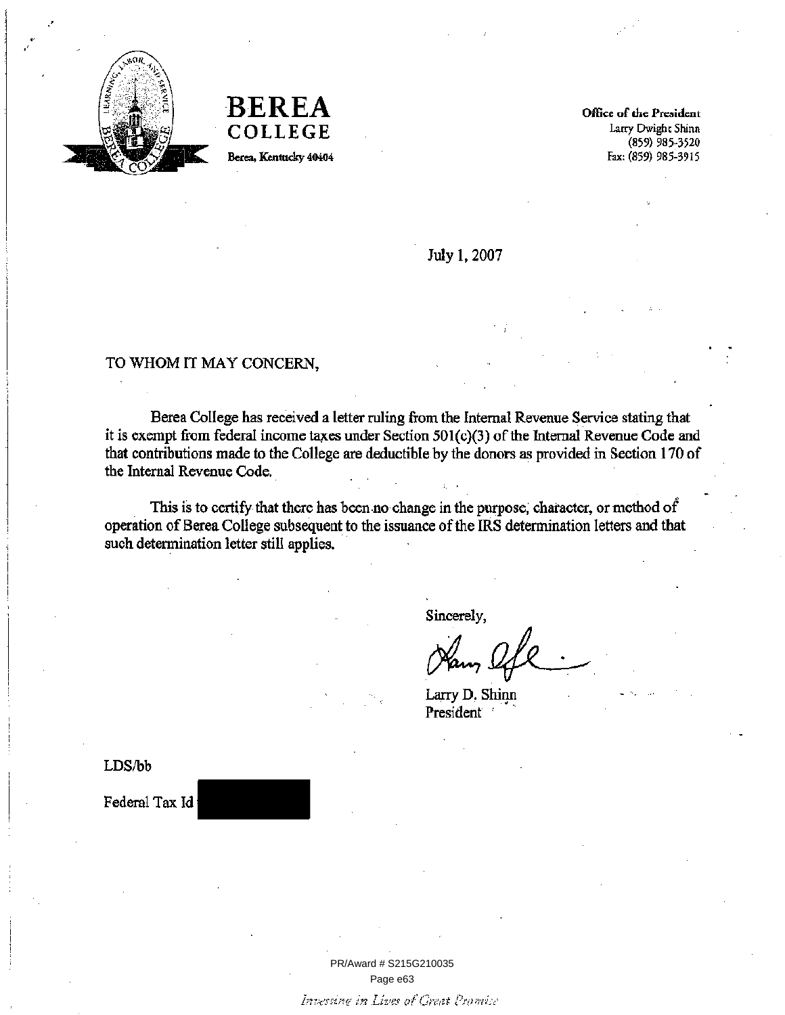

**BEREA COLLEGE** Berea, Kentucky 40404

Office of the President Larry Dwight Shinn  $(859)$  985-3520 Fax: (859) 985-3915

July 1, 2007

## TO WHOM IT MAY CONCERN,

Berea College has received a letter ruling from the Internal Revenue Service stating that it is exempt from federal income taxes under Section 501(c)(3) of the Internal Revenue Code and that contributions made to the College are deductible by the donors as provided in Section 170 of the Internal Revenue Code.

This is to certify that there has been no change in the purpose, character, or method of operation of Berea College subsequent to the issuance of the IRS determination letters and that such determination letter still applies.

Sincerely,

Larry D. Shinn President

LDS/bb

Federal Tax Id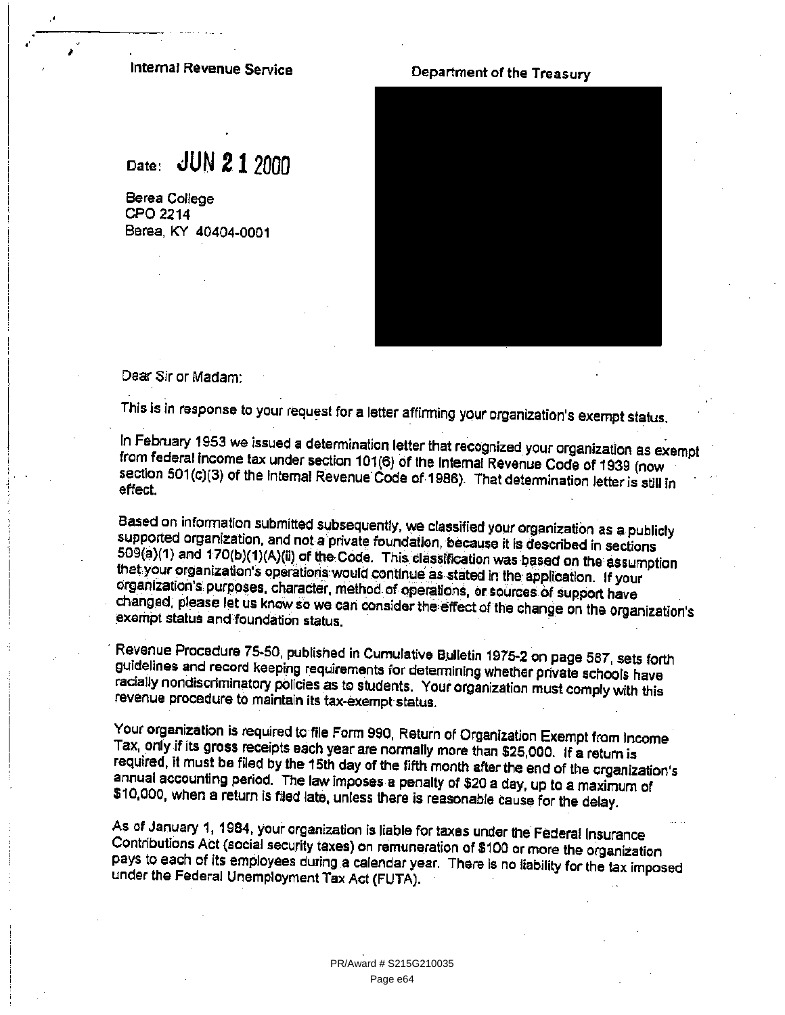## Internal Revenue Service

# Date: JUN 2 1 2000

Berea College CPO 2214 Berea, KY 40404-0001

## Department of the Treasury



Dear Sir or Madam:

This is in response to your request for a letter affirming your organization's exempt status.

In February 1953 we issued a determination letter that recognized your organization as exempt from federal income tax under section 101(6) of the Internal Revenue Code of 1939 (now section 501(c)(3) of the Internal Revenue Code of 1986). That determination letter is still in effect.

Based on information submitted subsequently, we classified your organization as a publicly supported organization, and not a private foundation, because it is described in sections 509(a)(1) and 170(b)(1)(A)(ii) of the Code. This classification was based on the assumption that your organization's operations would continue as stated in the application. If your organization's purposes, character, method of operations, or sources of support have changed, please let us know so we can consider the effect of the change on the organization's exempt status and foundation status.

Revenue Procedure 75-50, published in Cumulative Bulletin 1975-2 on page 587, sets forth guidelines and record keeping requirements for determining whether private schools have racially nondiscriminatory policies as to students. Your organization must comply with this revenue procedure to maintain its tax-exempt status.

Your organization is required to file Form 990, Return of Organization Exempt from Income Tax, only if its gross receipts each year are normally more than \$25,000. If a return is required, it must be filed by the 15th day of the fifth month after the end of the organization's annual accounting period. The law imposes a penalty of \$20 a day, up to a maximum of \$10,000, when a return is filed late, unless there is reasonable cause for the delay.

As of January 1, 1984, your organization is liable for taxes under the Federal Insurance Contributions Act (social security taxes) on remuneration of \$100 or more the organization pays to each of its employees during a calendar year. There is no liability for the tax imposed under the Federal Unemployment Tax Act (FUTA).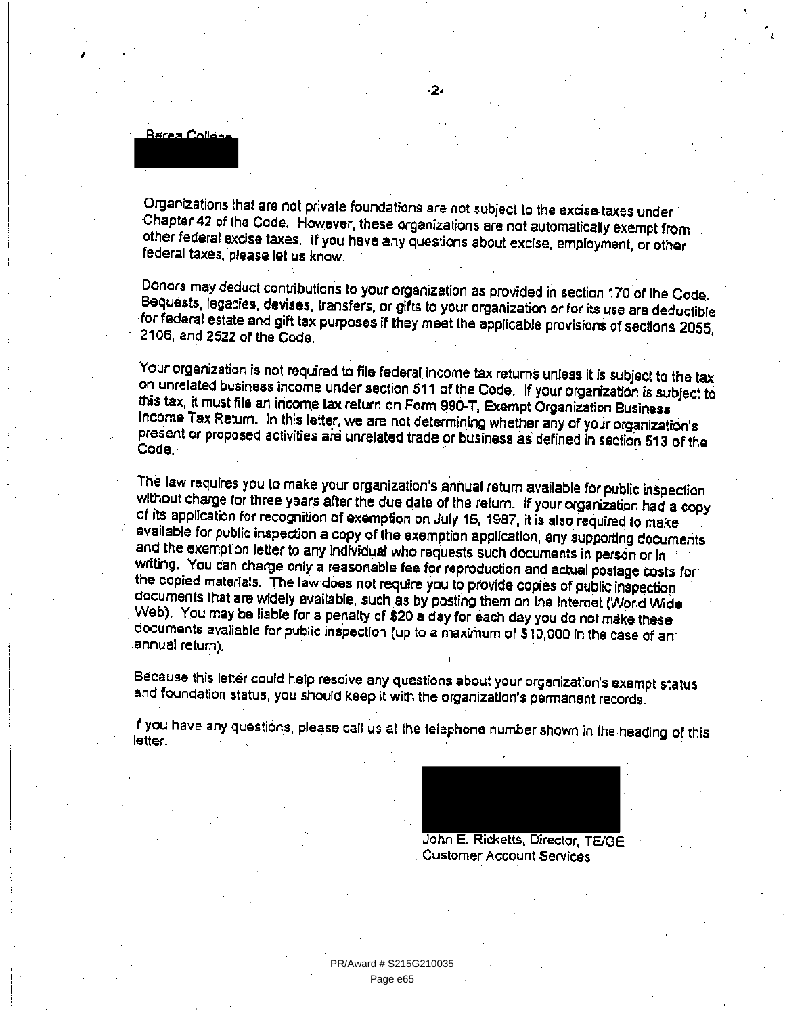<u> Berea Collána</u>

Organizations that are not private foundations are not subject to the excise taxes under Chapter 42 of the Code. However, these organizations are not automatically exempt from other federal excise taxes. If you have any questions about excise, employment, or other federal taxes, please let us know.

-2-

Donors may deduct contributions to your organization as provided in section 170 of the Code. Bequests, legacies, devises, transfers, or gifts to your organization or for its use are deductible for federal estate and gift tax purposes if they meet the applicable provisions of sections 2055. 2106, and 2522 of the Code.

Your organization is not required to file federal income tax returns unless it is subject to the tax on unrelated business income under section 511 of the Code. If your organization is subject to this tax, it must file an income tax return on Form 990-T, Exempt Organization Business Income Tax Return. In this letter, we are not determining whether any of your organization's present or proposed activities are unrelated trade or business as defined in section 513 of the Code.

The law requires you to make your organization's annual return available for public inspection without charge for three years after the due date of the return. If your organization had a copy of its application for recognition of exemption on July 15, 1987, it is also required to make available for public inspection a copy of the exemption application, any supporting documents and the exemption letter to any individual who requests such documents in person or in writing. You can charge only a reasonable fee for reproduction and actual postage costs for the copied materials. The law does not require you to provide copies of public inspection documents that are widely available, such as by posting them on the Internet (World Wide Web). You may be liable for a penalty of \$20 a day for each day you do not make these. documents available for public inspection (up to a maximum of \$10,000 in the case of an annual return).

Because this letter could help resoive any questions about your organization's exempt status and foundation status, you should keep it with the organization's permanent records.

If you have any questions, please call us at the telephone number shown in the heading of this letter.

> John E. Ricketts, Director, TE/GE **Customer Account Services**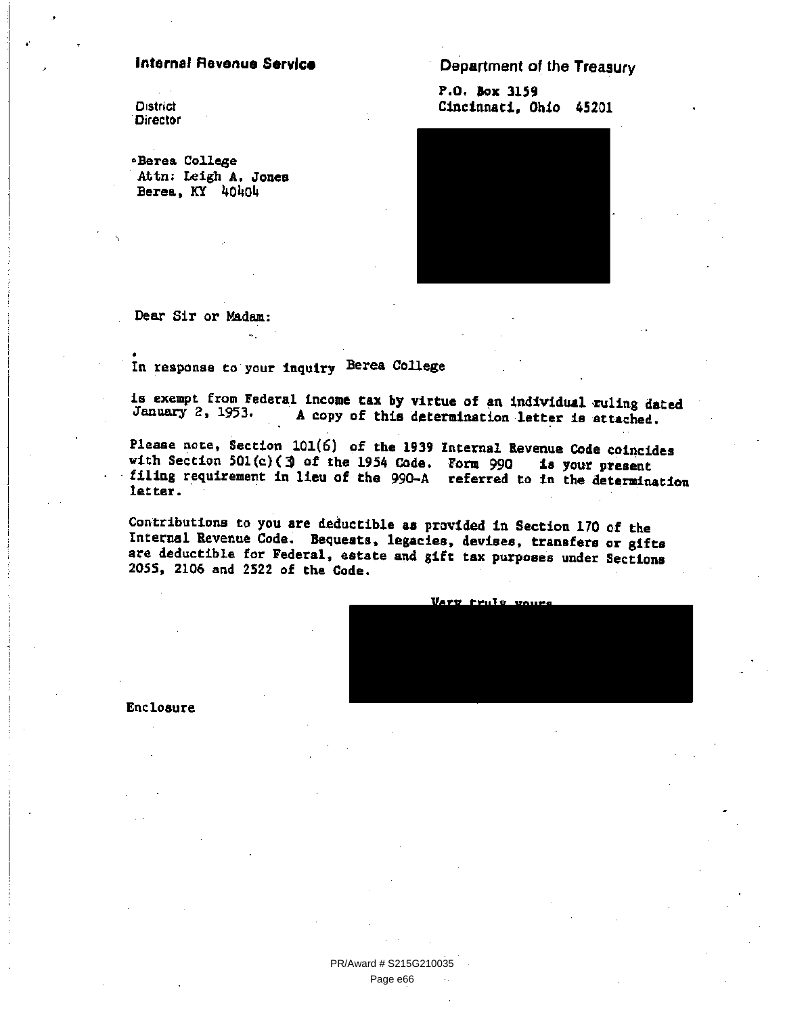## **Internal Revenue Service**

**District Director** 

«Berea College Attn: Leigh A. Jones Berea, KY 40404

Department of the Treasury

P.O. Box 3159 Cincinnati, Ohio 45201



Dear Sir or Madam:

In response to your inquiry Berea College

is exempt from Federal income tax by virtue of an individual ruling dated January 2, 1953. A copy of this determination letter is attached.

Please note, Section 101(6) of the 1939 Internal Revenue Code coincides with Section 501(c) (3) of the 1954 Code. Form 990 is your present filing requirement in lieu of the 990-A referred to in the determination letter.

Contributions to you are deductible as provided in Section 170 of the Internal Revenue Code. Bequests, legacies, devises, transfers or gifts are deductible for Federal, estate and gift tax purposes under Sections 2055, 2106 and 2522 of the Code.



Enclosure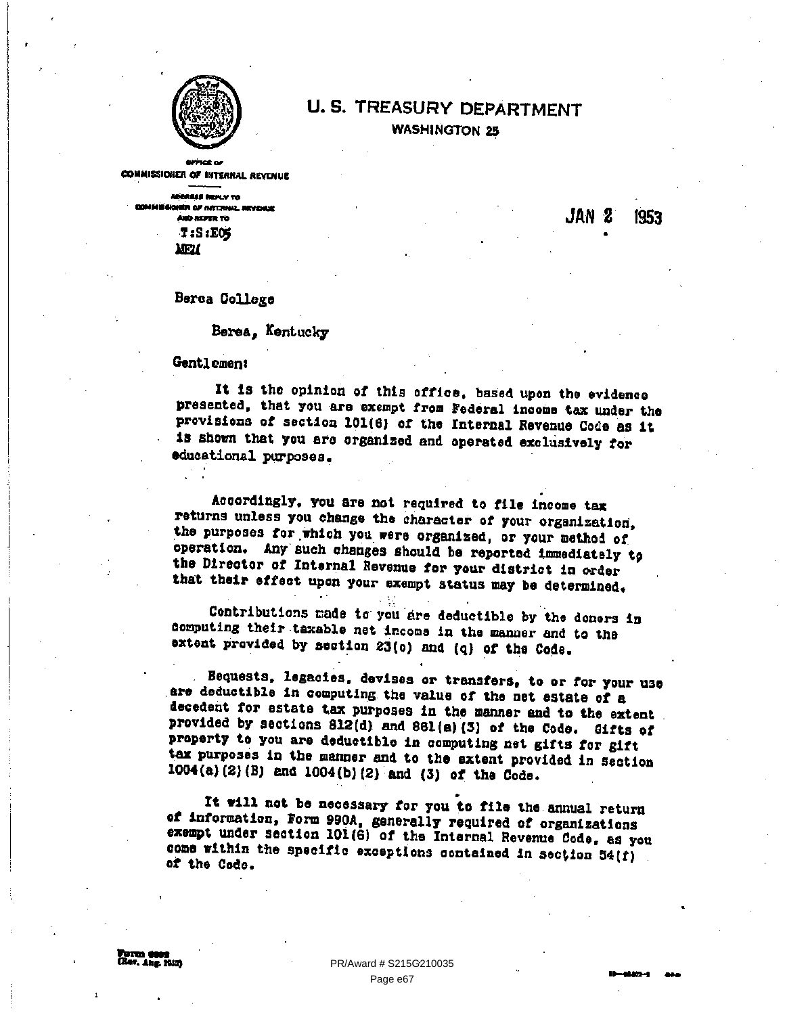

## **U.S. TREASURY DEPARTMENT WASHINGTON 25**

**COMMISSIONER OF INTERNAL REVENUE** 

ABOREES REPLY TO .<br>En af nattrikk reviser **AND REPER TO**  $T: S: EOS$ **MEN** 

JAN 2 1953

Berea College

Berea. Kentucky

Gentlement

It is the opinion of this office, based upon the evidence presented, that you are exempt from Federal income tax under the provisions of section 101(6) of the Internal Revenue Code as it is shown that you are erganized and operated exclusively for educational purposes.

Accordingly, you are not required to file income tax returns unless you change the character of your organization, the purposes for which you were organized, or your method of operation. Any such changes should be reported immediately to the Director of Internal Revenue for your district in order that their effect upon your exempt status may be determined.

Contributions made to you are deductible by the donors in computing their taxable net income in the manner and to the extent provided by section 23(o) and (q) of the Code.

Bequests, legacies, devises or transfers, to or for your use are deductible in computing the value of the net estate of a decedent for estate tax purposes in the manner and to the extent provided by sections 812(d) and 861(a)(3) of the Code. Gifts of property to you are deductible in computing net gifts for gift tax purposes in the manner and to the extent provided in section 1004(a)(2)(B) and 1004(b)(2) and (3) of the Code.

It will not be necessary for you to file the annual return of information, Form 990A, generally required of organizations exempt under section 101(6) of the Internal Revenue Code, as you come within the specific exceptions contained in section 54(f) of the Code.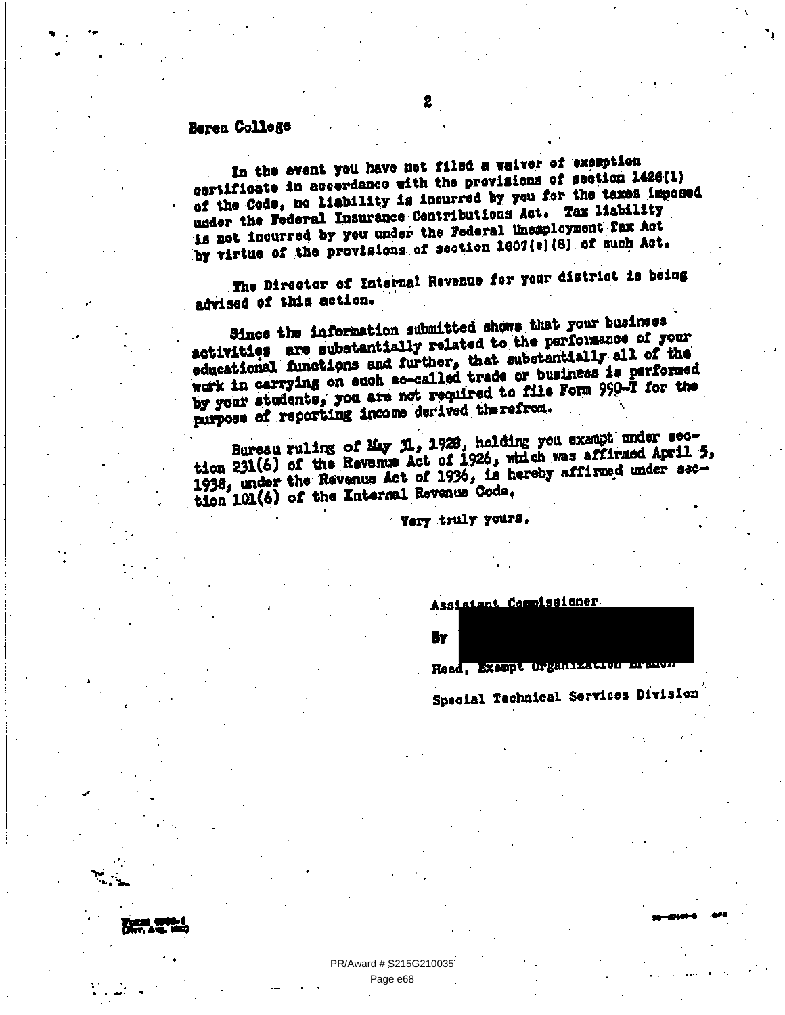## Berea College

In the event you have not filed a waiver of exemption certificate in accordance with the provisions of section 1428(1) of the Cods, no liability is incurred by you for the taxes imposed under the Federal Insurance Contributions Act. Tax liability is not incurred by you under the Federal Unemployment Fax Act by virtue of the provisions of section 1607(c)(8) of such Act.

The Director of Internal Revenue for your district is being advised of this action.

Since the information submitted shows that your business activities are substantially related to the performance of your educational functions and further, that substantially all of the work in carrying on such so-called trade or business is performed by your students, you are not required to file Form 990-T for the purpose of reporting income derived therefrom.

Bureau ruling of May N., 1928, holding you exampt under section 231(6) of the Revenue Act of 1926, which was affirmed April 5, 1938, under the Revenue Act of 1936, is hereby affirmed under asction 101(6) of the Internal Revenue Code.

Very truly yours,

Assistant Commissioner

By

Head, Exempt Organization or

Special Technical Services Division

PR/Award # \$215G210035 Page e68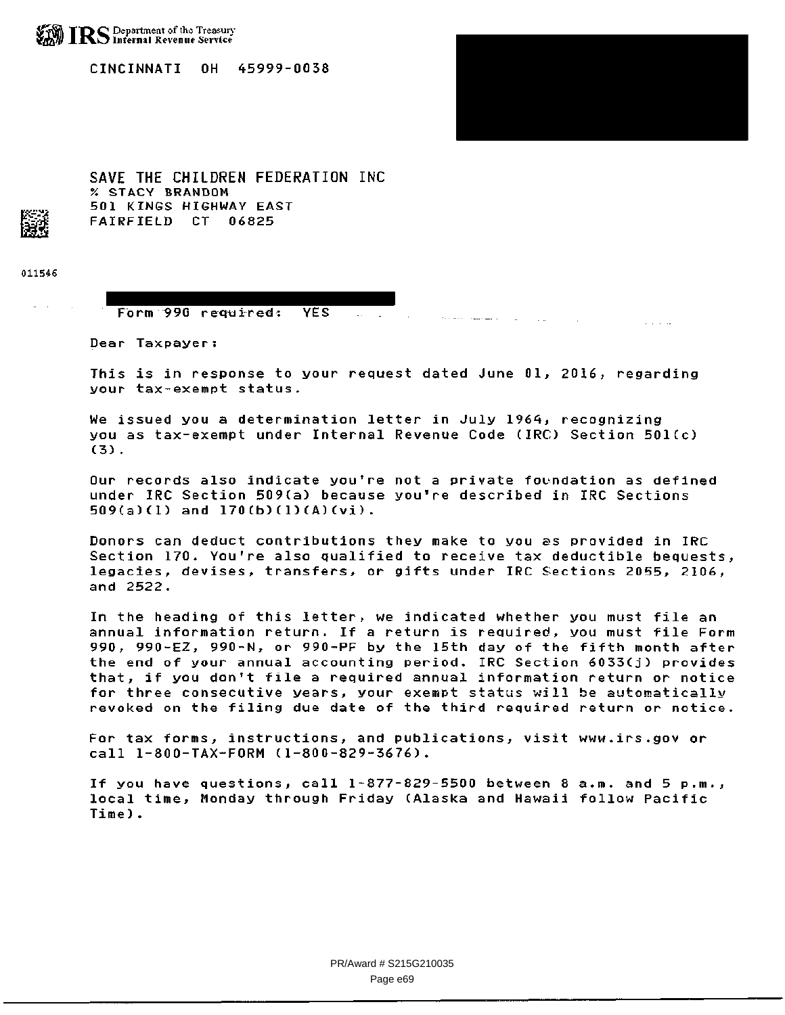

CINCINNATI OH 45999-0038

501 KINGS HIGHWAY EAST FAIRFIELD CT 06825

SAVE THE CHILDREN FEDERATION INC % sTACY BRANDON



011546

#### Form 990 required: YES

Dear Taxpayer:

This is in response to your request dated June 01, 2016, regarding your tax-exempt status.

 $\sim 100$ 

 $\sim 100$ 

We issued you a determination letter in July 1964, recognizing you as tax-exempt under Internal Revenue Code (IRC) Section 501(c) (3).

Our records also indicate you're not a private foundation as defined under IRC Section 509(a) because you're described in IRC Sections 509(a)(1) and 170(b)(1)(A)(vi).

Donors can deduct contributions they make to you as provided in IRC Section 170. You're also qualified to receive tax deductible bequests, legacies, devises, transfers, or gifts under IRC Sections 2055, 2106, and 2522.

In the heading of this letter, we indicated whether you must file an annual information return. If a return is required, you must file Form 990, 990-EZ, 990-N, or 990-PF by the 15th day of the fifth month after the end of your annual accounting period. IRC Section 6033(j) provides that, if you don't file a required annual information return or notice for three consecutive years, your exempt status will be automatically revoked on the filing due date of the third required return or notice.

For tax forms, instructions, and publications, visit www.irs.govor call 1-800-TAX-FORM (1-800-829-3676).

If you have questions, call 1-877-829-5500 between 8 a.m. and 5 p.m., local time, Monday through Friday (Alaska and Hawaii follow Pacific Time).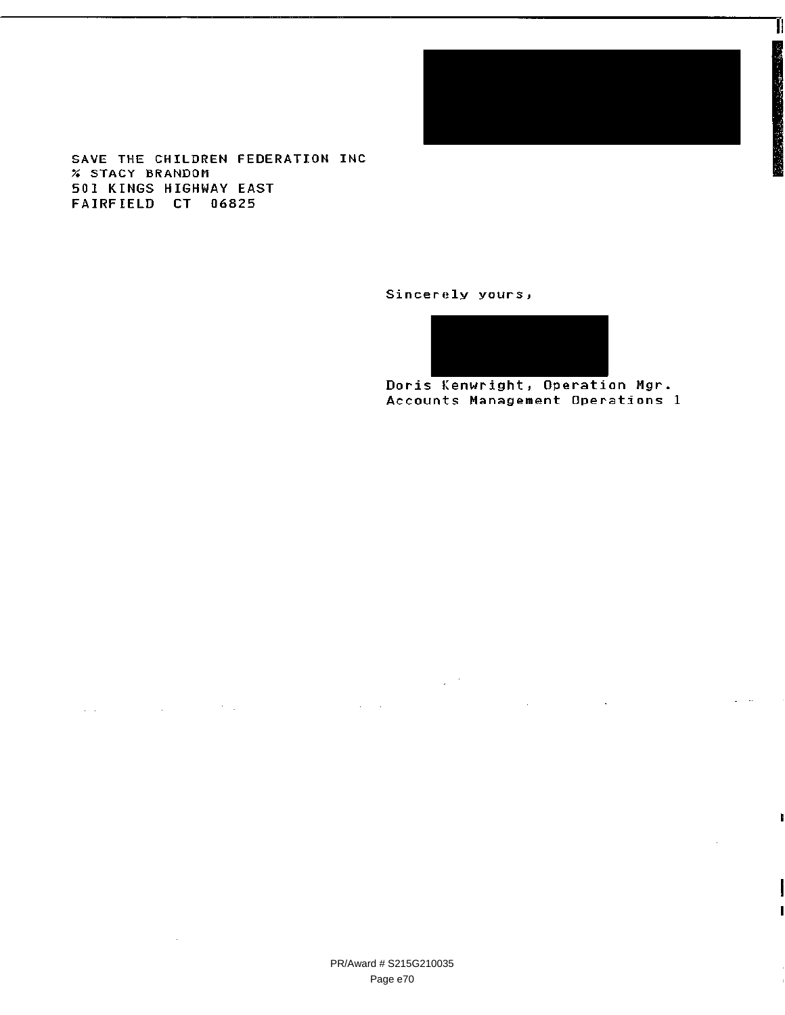

Ĥ

SAVE THE CHILDREN FEDERATION INC % STACY BRANDOM 501 KINGS HIGHWAY EAST FAIRFIELD CT 06825

 $\Delta\Delta\phi$  and  $\Delta\phi$  are the second contributions of the  $\Delta\phi$ 

 $\mathcal{L}_{\mathcal{A}}$ 

Sincerely yours,

 $\mathcal{L}_{\mathbf{z}}$  , where  $\mathcal{L}_{\mathbf{z}}$ 

Doris Kenwright, Operation Mgr Accounts Management Operations 1

 $\sim 10$ 

 $\mathcal{L}^{\text{max}}_{\text{max}}$  , where  $\mathcal{L}^{\text{max}}_{\text{max}}$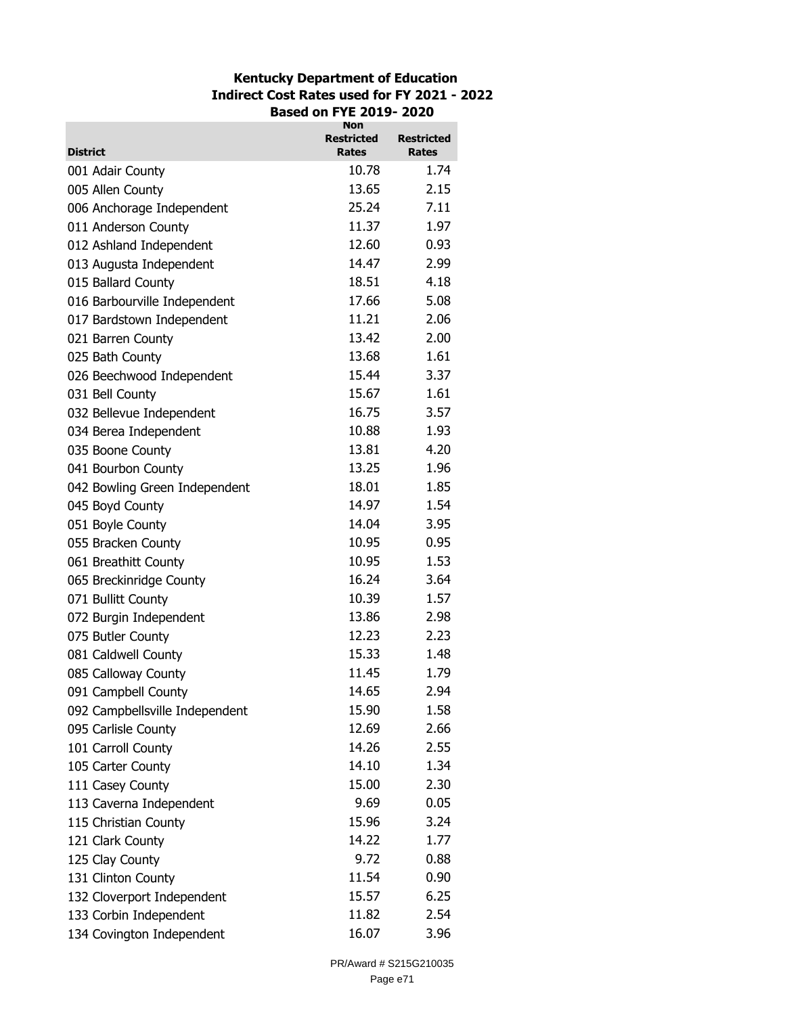## **Kentucky Department of Education Indirect Cost Rates used for FY 2021 - 2022 Based on FYE 2019- 2020**

|                                | Non<br>Restricted | <b>Restricted</b> |
|--------------------------------|-------------------|-------------------|
| <b>District</b>                | <b>Rates</b>      | Rates             |
| 001 Adair County               | 10.78             | 1.74              |
| 005 Allen County               | 13.65             | 2.15              |
| 006 Anchorage Independent      | 25.24             | 7.11              |
| 011 Anderson County            | 11.37             | 1.97              |
| 012 Ashland Independent        | 12.60             | 0.93              |
| 013 Augusta Independent        | 14.47             | 2.99              |
| 015 Ballard County             | 18.51             | 4.18              |
| 016 Barbourville Independent   | 17.66             | 5.08              |
| 017 Bardstown Independent      | 11.21             | 2.06              |
| 021 Barren County              | 13.42             | 2.00              |
| 025 Bath County                | 13.68             | 1.61              |
| 026 Beechwood Independent      | 15.44             | 3.37              |
| 031 Bell County                | 15.67             | 1.61              |
| 032 Bellevue Independent       | 16.75             | 3.57              |
| 034 Berea Independent          | 10.88             | 1.93              |
| 035 Boone County               | 13.81             | 4.20              |
| 041 Bourbon County             | 13.25             | 1.96              |
| 042 Bowling Green Independent  | 18.01             | 1.85              |
| 045 Boyd County                | 14.97             | 1.54              |
| 051 Boyle County               | 14.04             | 3.95              |
| 055 Bracken County             | 10.95             | 0.95              |
| 061 Breathitt County           | 10.95             | 1.53              |
| 065 Breckinridge County        | 16.24             | 3.64              |
| 071 Bullitt County             | 10.39             | 1.57              |
| 072 Burgin Independent         | 13.86             | 2.98              |
| 075 Butler County              | 12.23             | 2.23              |
| 081 Caldwell County            | 15.33             | 1.48              |
| 085 Calloway County            | 11.45             | 1.79              |
| 091 Campbell County            | 14.65             | 2.94              |
| 092 Campbellsville Independent | 15.90             | 1.58              |
| 095 Carlisle County            | 12.69             | 2.66              |
| 101 Carroll County             | 14.26             | 2.55              |
| 105 Carter County              | 14.10             | 1.34              |
| 111 Casey County               | 15.00             | 2.30              |
| 113 Caverna Independent        | 9.69              | 0.05              |
| 115 Christian County           | 15.96             | 3.24              |
| 121 Clark County               | 14.22             | 1.77              |
| 125 Clay County                | 9.72              | 0.88              |
| 131 Clinton County             | 11.54             | 0.90              |
| 132 Cloverport Independent     | 15.57             | 6.25              |
| 133 Corbin Independent         | 11.82             | 2.54              |
| 134 Covington Independent      | 16.07             | 3.96              |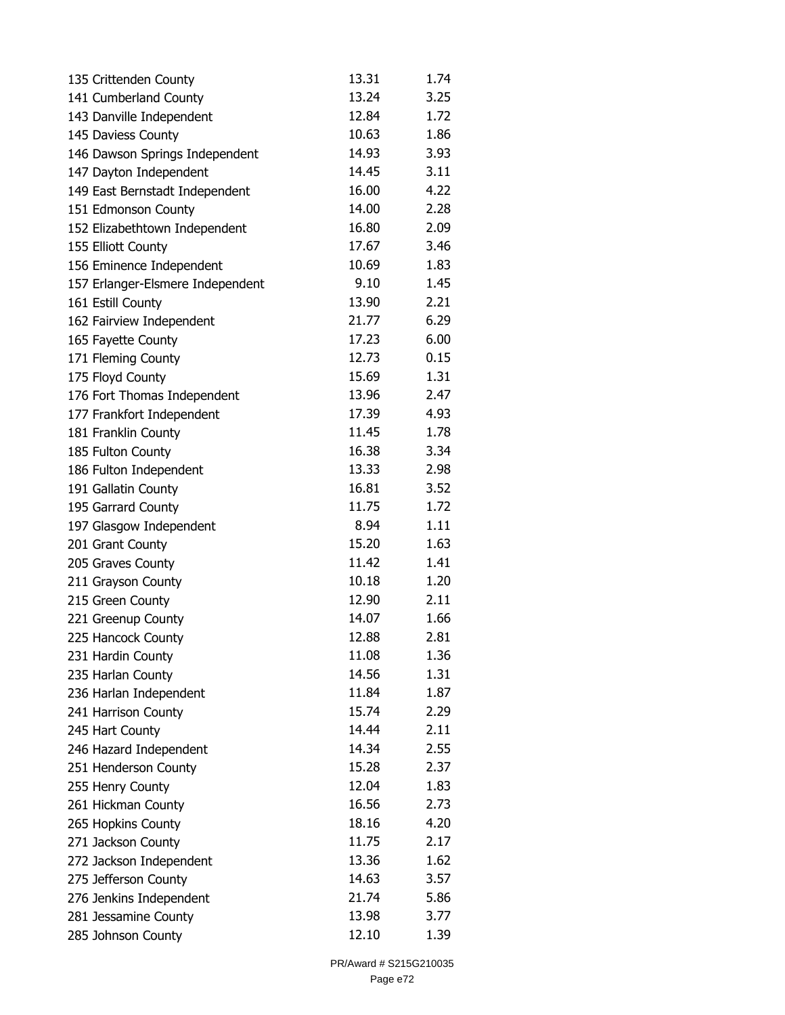| 135 Crittenden County            | 13.31 | 1.74 |
|----------------------------------|-------|------|
| 141 Cumberland County            | 13.24 | 3.25 |
| 143 Danville Independent         | 12.84 | 1.72 |
| 145 Daviess County               | 10.63 | 1.86 |
| 146 Dawson Springs Independent   | 14.93 | 3.93 |
| 147 Dayton Independent           | 14.45 | 3.11 |
| 149 East Bernstadt Independent   | 16.00 | 4.22 |
| 151 Edmonson County              | 14.00 | 2.28 |
| 152 Elizabethtown Independent    | 16.80 | 2.09 |
| 155 Elliott County               | 17.67 | 3.46 |
| 156 Eminence Independent         | 10.69 | 1.83 |
| 157 Erlanger-Elsmere Independent | 9.10  | 1.45 |
| 161 Estill County                | 13.90 | 2.21 |
| 162 Fairview Independent         | 21.77 | 6.29 |
| 165 Fayette County               | 17.23 | 6.00 |
| 171 Fleming County               | 12.73 | 0.15 |
| 175 Floyd County                 | 15.69 | 1.31 |
| 176 Fort Thomas Independent      | 13.96 | 2.47 |
| 177 Frankfort Independent        | 17.39 | 4.93 |
| 181 Franklin County              | 11.45 | 1.78 |
| 185 Fulton County                | 16.38 | 3.34 |
| 186 Fulton Independent           | 13.33 | 2.98 |
| 191 Gallatin County              | 16.81 | 3.52 |
| 195 Garrard County               | 11.75 | 1.72 |
| 197 Glasgow Independent          | 8.94  | 1.11 |
| 201 Grant County                 | 15.20 | 1.63 |
| 205 Graves County                | 11.42 | 1.41 |
| 211 Grayson County               | 10.18 | 1.20 |
| 215 Green County                 | 12.90 | 2.11 |
| 221 Greenup County               | 14.07 | 1.66 |
| 225 Hancock County               | 12.88 | 2.81 |
| 231 Hardin County                | 11.08 | 1.36 |
| 235 Harlan County                | 14.56 | 1.31 |
| 236 Harlan Independent           | 11.84 | 1.87 |
| 241 Harrison County              | 15.74 | 2.29 |
| 245 Hart County                  | 14.44 | 2.11 |
| 246 Hazard Independent           | 14.34 | 2.55 |
| 251 Henderson County             | 15.28 | 2.37 |
| 255 Henry County                 | 12.04 | 1.83 |
| 261 Hickman County               | 16.56 | 2.73 |
| 265 Hopkins County               | 18.16 | 4.20 |
| 271 Jackson County               | 11.75 | 2.17 |
| 272 Jackson Independent          | 13.36 | 1.62 |
| 275 Jefferson County             | 14.63 | 3.57 |
| 276 Jenkins Independent          | 21.74 | 5.86 |
| 281 Jessamine County             | 13.98 | 3.77 |
| 285 Johnson County               | 12.10 | 1.39 |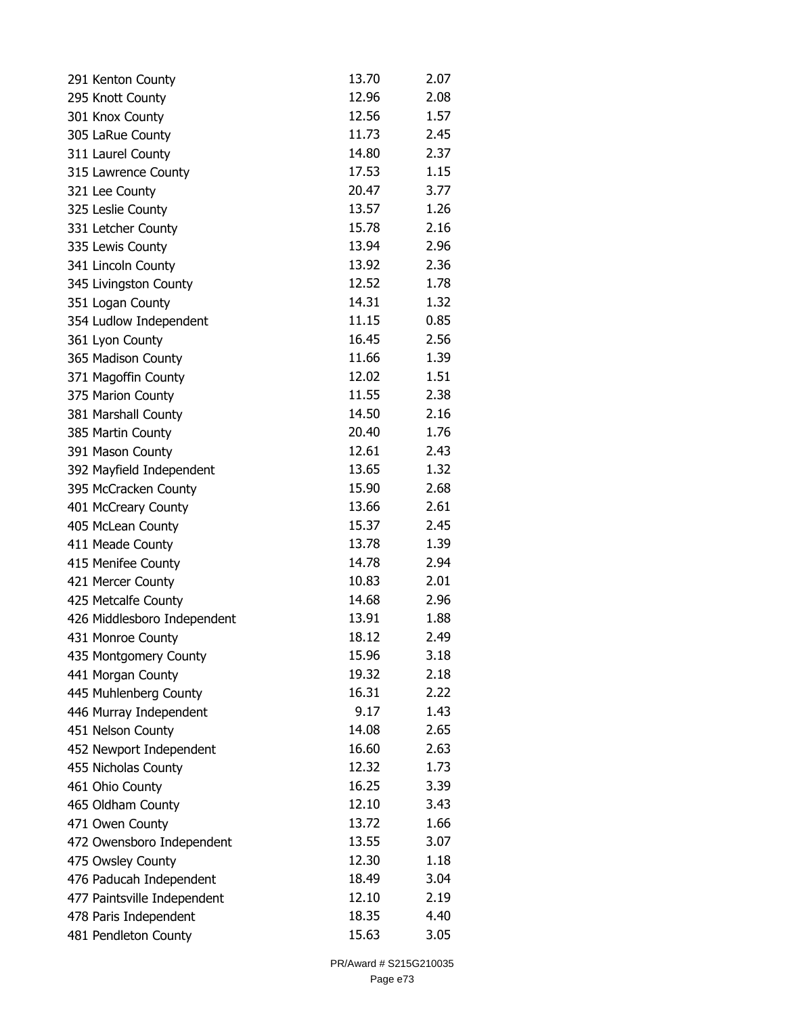| 291 Kenton County           | 13.70 | 2.07 |
|-----------------------------|-------|------|
| 295 Knott County            | 12.96 | 2.08 |
| 301 Knox County             | 12.56 | 1.57 |
| 305 LaRue County            | 11.73 | 2.45 |
| 311 Laurel County           | 14.80 | 2.37 |
| 315 Lawrence County         | 17.53 | 1.15 |
| 321 Lee County              | 20.47 | 3.77 |
| 325 Leslie County           | 13.57 | 1.26 |
| 331 Letcher County          | 15.78 | 2.16 |
| 335 Lewis County            | 13.94 | 2.96 |
| 341 Lincoln County          | 13.92 | 2.36 |
| 345 Livingston County       | 12.52 | 1.78 |
| 351 Logan County            | 14.31 | 1.32 |
| 354 Ludlow Independent      | 11.15 | 0.85 |
| 361 Lyon County             | 16.45 | 2.56 |
| 365 Madison County          | 11.66 | 1.39 |
| 371 Magoffin County         | 12.02 | 1.51 |
| 375 Marion County           | 11.55 | 2.38 |
| 381 Marshall County         | 14.50 | 2.16 |
| 385 Martin County           | 20.40 | 1.76 |
| 391 Mason County            | 12.61 | 2.43 |
| 392 Mayfield Independent    | 13.65 | 1.32 |
| 395 McCracken County        | 15.90 | 2.68 |
| 401 McCreary County         | 13.66 | 2.61 |
| 405 McLean County           | 15.37 | 2.45 |
| 411 Meade County            | 13.78 | 1.39 |
| 415 Menifee County          | 14.78 | 2.94 |
| 421 Mercer County           | 10.83 | 2.01 |
| 425 Metcalfe County         | 14.68 | 2.96 |
| 426 Middlesboro Independent | 13.91 | 1.88 |
| 431 Monroe County           | 18.12 | 2.49 |
| 435 Montgomery County       | 15.96 | 3.18 |
| 441 Morgan County           | 19.32 | 2.18 |
| 445 Muhlenberg County       | 16.31 | 2.22 |
| 446 Murray Independent      | 9.17  | 1.43 |
| 451 Nelson County           | 14.08 | 2.65 |
| 452 Newport Independent     | 16.60 | 2.63 |
| 455 Nicholas County         | 12.32 | 1.73 |
| 461 Ohio County             | 16.25 | 3.39 |
| 465 Oldham County           | 12.10 | 3.43 |
| 471 Owen County             | 13.72 | 1.66 |
| 472 Owensboro Independent   | 13.55 | 3.07 |
| 475 Owsley County           | 12.30 | 1.18 |
| 476 Paducah Independent     | 18.49 | 3.04 |
| 477 Paintsville Independent | 12.10 | 2.19 |
| 478 Paris Independent       | 18.35 | 4.40 |
| 481 Pendleton County        | 15.63 | 3.05 |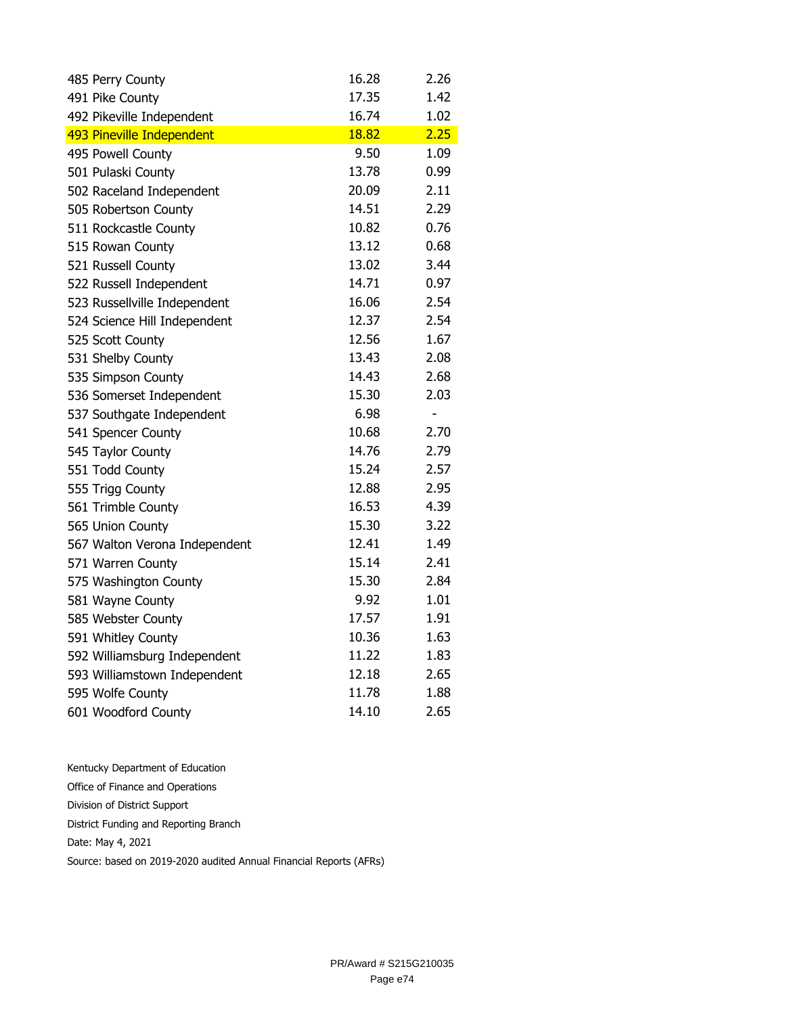| 485 Perry County              | 16.28 | 2.26                     |
|-------------------------------|-------|--------------------------|
| 491 Pike County               | 17.35 | 1.42                     |
| 492 Pikeville Independent     | 16.74 | 1.02                     |
| 493 Pineville Independent     | 18.82 | 2.25                     |
| 495 Powell County             | 9.50  | 1.09                     |
| 501 Pulaski County            | 13.78 | 0.99                     |
| 502 Raceland Independent      | 20.09 | 2.11                     |
| 505 Robertson County          | 14.51 | 2.29                     |
| 511 Rockcastle County         | 10.82 | 0.76                     |
| 515 Rowan County              | 13.12 | 0.68                     |
| 521 Russell County            | 13.02 | 3.44                     |
| 522 Russell Independent       | 14.71 | 0.97                     |
| 523 Russellville Independent  | 16.06 | 2.54                     |
| 524 Science Hill Independent  | 12.37 | 2.54                     |
| 525 Scott County              | 12.56 | 1.67                     |
| 531 Shelby County             | 13.43 | 2.08                     |
| 535 Simpson County            | 14.43 | 2.68                     |
| 536 Somerset Independent      | 15.30 | 2.03                     |
| 537 Southgate Independent     | 6.98  | $\overline{\phantom{m}}$ |
| 541 Spencer County            | 10.68 | 2.70                     |
| 545 Taylor County             | 14.76 | 2.79                     |
| 551 Todd County               | 15.24 | 2.57                     |
| 555 Trigg County              | 12.88 | 2.95                     |
| 561 Trimble County            | 16.53 | 4.39                     |
| 565 Union County              | 15.30 | 3.22                     |
| 567 Walton Verona Independent | 12.41 | 1.49                     |
| 571 Warren County             | 15.14 | 2.41                     |
| 575 Washington County         | 15.30 | 2.84                     |
| 581 Wayne County              | 9.92  | 1.01                     |
| 585 Webster County            | 17.57 | 1.91                     |
| 591 Whitley County            | 10.36 | 1.63                     |
| 592 Williamsburg Independent  | 11.22 | 1.83                     |
| 593 Williamstown Independent  | 12.18 | 2.65                     |
| 595 Wolfe County              | 11.78 | 1.88                     |
| 601 Woodford County           | 14.10 | 2.65                     |

Kentucky Department of Education Office of Finance and Operations Division of District Support District Funding and Reporting Branch Date: May 4, 2021 Source: based on 2019-2020 audited Annual Financial Reports (AFRs)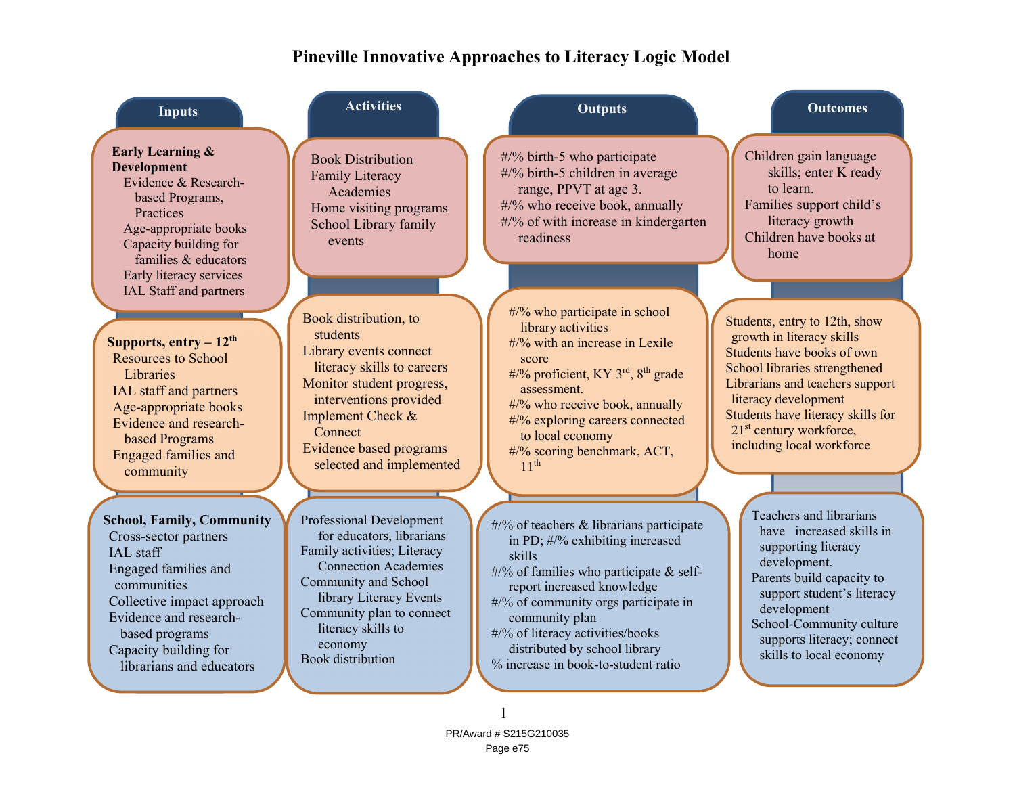# **Pineville Innovative Approaches to Literacy Logic Model**

| <b>Inputs</b>                                                                                                                                                                                                                                | <b>Activities</b>                                                                                                                                                                                                                                                | <b>Outputs</b>                                                                                                                                                                                                                                                                                                                         | <b>Outcomes</b>                                                                                                                                                                                                                                                                               |
|----------------------------------------------------------------------------------------------------------------------------------------------------------------------------------------------------------------------------------------------|------------------------------------------------------------------------------------------------------------------------------------------------------------------------------------------------------------------------------------------------------------------|----------------------------------------------------------------------------------------------------------------------------------------------------------------------------------------------------------------------------------------------------------------------------------------------------------------------------------------|-----------------------------------------------------------------------------------------------------------------------------------------------------------------------------------------------------------------------------------------------------------------------------------------------|
| <b>Early Learning &amp;</b><br><b>Development</b><br>Evidence & Research-<br>based Programs,<br>Practices<br>Age-appropriate books<br>Capacity building for<br>families & educators<br>Early literacy services<br>IAL Staff and partners     | <b>Book Distribution</b><br><b>Family Literacy</b><br>Academies<br>Home visiting programs<br>School Library family<br>events                                                                                                                                     | #/% birth-5 who participate<br>#/% birth-5 children in average<br>range, PPVT at age 3.<br>#/% who receive book, annually<br>#/% of with increase in kindergarten<br>readiness                                                                                                                                                         | Children gain language<br>skills; enter K ready<br>to learn.<br>Families support child's<br>literacy growth<br>Children have books at<br>home                                                                                                                                                 |
| Supports, $entry - 12th$<br><b>Resources to School</b><br>Libraries<br>IAL staff and partners<br>Age-appropriate books<br>Evidence and research-<br>based Programs<br><b>Engaged families and</b><br>community                               | Book distribution, to<br>students<br>Library events connect<br>literacy skills to careers<br>Monitor student progress,<br>interventions provided<br>Implement Check &<br>Connect<br>Evidence based programs<br>selected and implemented                          | #/% who participate in school<br>library activities<br>#/% with an increase in Lexile<br>score<br>#/% proficient, KY $3rd$ , $8th$ grade<br>assessment.<br>#/% who receive book, annually<br>#/% exploring careers connected<br>to local economy<br>#/% scoring benchmark, ACT,<br>11 <sup>th</sup>                                    | Students, entry to 12th, show<br>growth in literacy skills<br>Students have books of own<br>School libraries strengthened<br>Librarians and teachers support<br>literacy development<br>Students have literacy skills for<br>21 <sup>st</sup> century workforce,<br>including local workforce |
| <b>School, Family, Community</b><br>Cross-sector partners<br>IAL staff<br>Engaged families and<br>communities<br>Collective impact approach<br>Evidence and research-<br>based programs<br>Capacity building for<br>librarians and educators | Professional Development<br>for educators, librarians<br>Family activities; Literacy<br><b>Connection Academies</b><br>Community and School<br>library Literacy Events<br>Community plan to connect<br>literacy skills to<br>economy<br><b>Book</b> distribution | #/% of teachers & librarians participate<br>in PD; #/% exhibiting increased<br>skills<br>#/% of families who participate $&$ self-<br>report increased knowledge<br>#/% of community orgs participate in<br>community plan<br>#/% of literacy activities/books<br>distributed by school library<br>% increase in book-to-student ratio | Teachers and librarians<br>have increased skills in<br>supporting literacy<br>development.<br>Parents build capacity to<br>support student's literacy<br>development<br>School-Community culture<br>supports literacy; connect<br>skills to local economy                                     |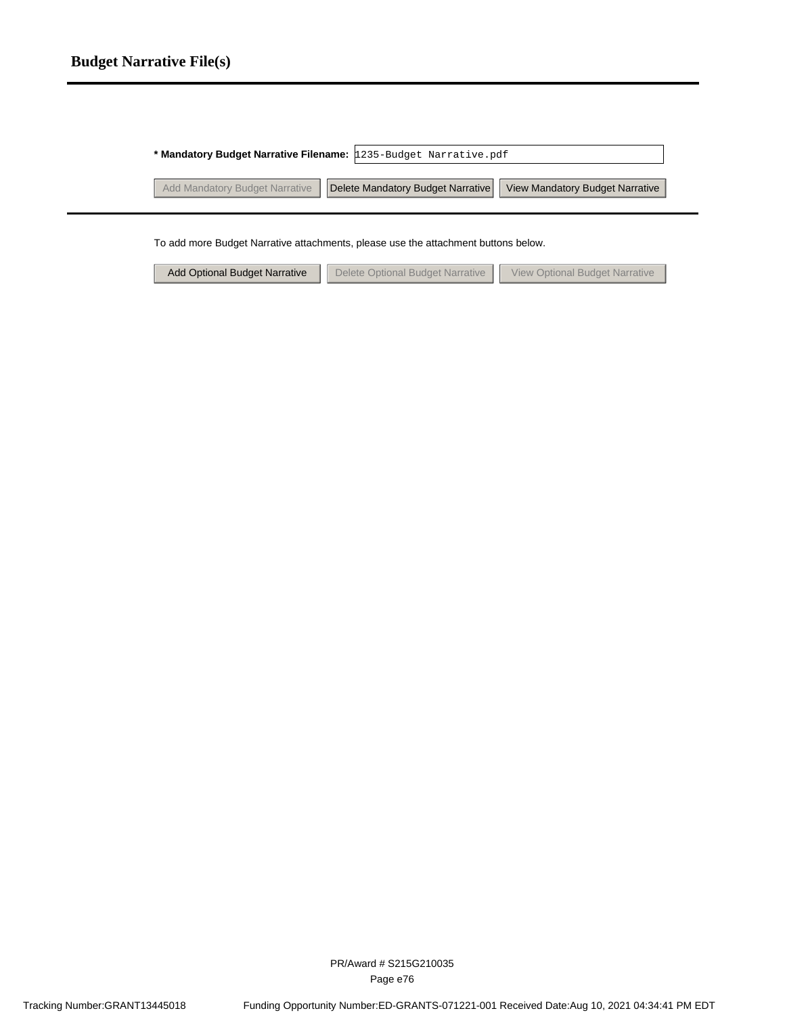#### **Budget Narrative File(s)**

| * Mandatory Budget Narrative Filename: 1235-Budget Narrative.pdf   |                                 |
|--------------------------------------------------------------------|---------------------------------|
| Add Mandatory Budget Narrative   Delete Mandatory Budget Narrative | View Mandatory Budget Narrative |
|                                                                    |                                 |

To add more Budget Narrative attachments, please use the attachment buttons below.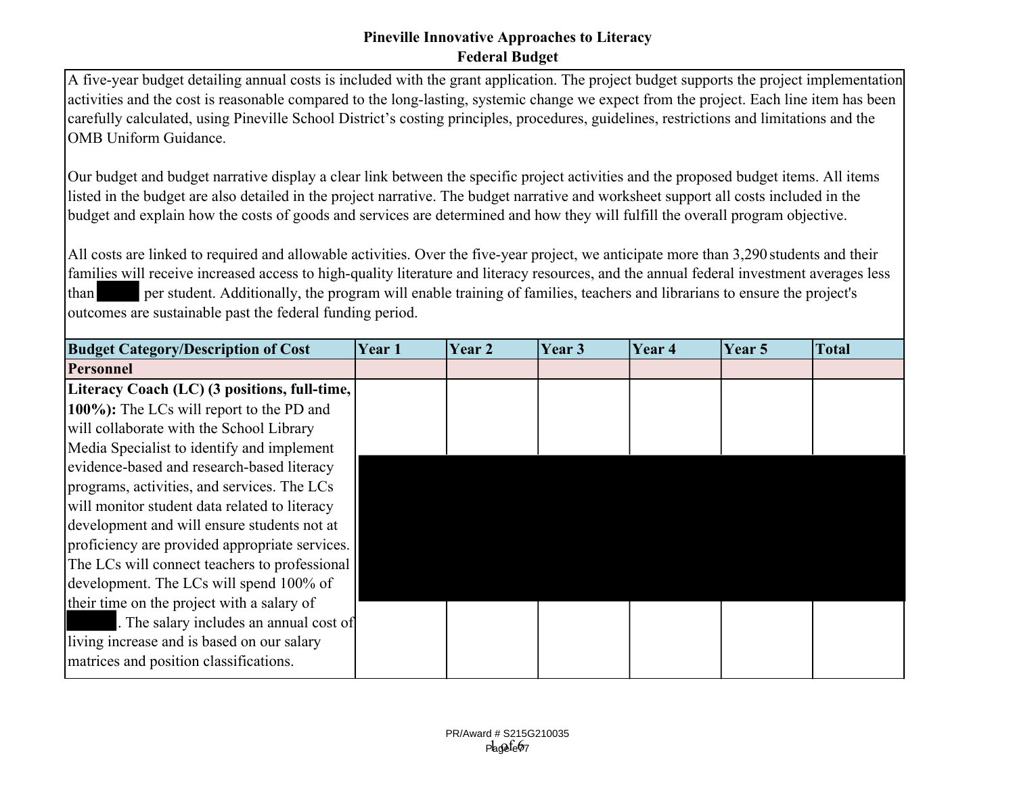#### **Pineville Innovative Approaches to Literacy Federal Budget**

A five-year budget detailing annual costs is included with the grant application. The project budget supports the project implementation activities and the cost is reasonable compared to the long-lasting, systemic change we expect from the project. Each line item has been carefully calculated, using Pineville School District's costing principles, procedures, guidelines, restrictions and limitations and the OMB Uniform Guidance.

Our budget and budget narrative display a clear link between the specific project activities and the proposed budget items. All items listed in the budget are also detailed in the project narrative. The budget narrative and worksheet support all costs included in the budget and explain how the costs of goods and services are determined and how they will fulfill the overall program objective.

All costs are linked to required and allowable activities. Over the five-year project, we anticipate more than 3,290 students and their families will receive increased access to high-quality literature and literacy resources, and the annual federal investment averages less than per student. Additionally, the program will enable training of families, teachers and librarians to ensure the project's outcomes are sustainable past the federal funding period.

| <b>Budget Category/Description of Cost</b>     | Year 1 | Year 2 | Year 3 | Year 4 | Year 5 | <b>Total</b> |
|------------------------------------------------|--------|--------|--------|--------|--------|--------------|
| <b>Personnel</b>                               |        |        |        |        |        |              |
| Literacy Coach (LC) (3 positions, full-time,   |        |        |        |        |        |              |
| 100%): The LCs will report to the PD and       |        |        |        |        |        |              |
| will collaborate with the School Library       |        |        |        |        |        |              |
| Media Specialist to identify and implement     |        |        |        |        |        |              |
| evidence-based and research-based literacy     |        |        |        |        |        |              |
| programs, activities, and services. The LCs    |        |        |        |        |        |              |
| will monitor student data related to literacy  |        |        |        |        |        |              |
| development and will ensure students not at    |        |        |        |        |        |              |
| proficiency are provided appropriate services. |        |        |        |        |        |              |
| The LCs will connect teachers to professional  |        |        |        |        |        |              |
| development. The LCs will spend 100% of        |        |        |        |        |        |              |
| their time on the project with a salary of     |        |        |        |        |        |              |
| The salary includes an annual cost of          |        |        |        |        |        |              |
| living increase and is based on our salary     |        |        |        |        |        |              |
| matrices and position classifications.         |        |        |        |        |        |              |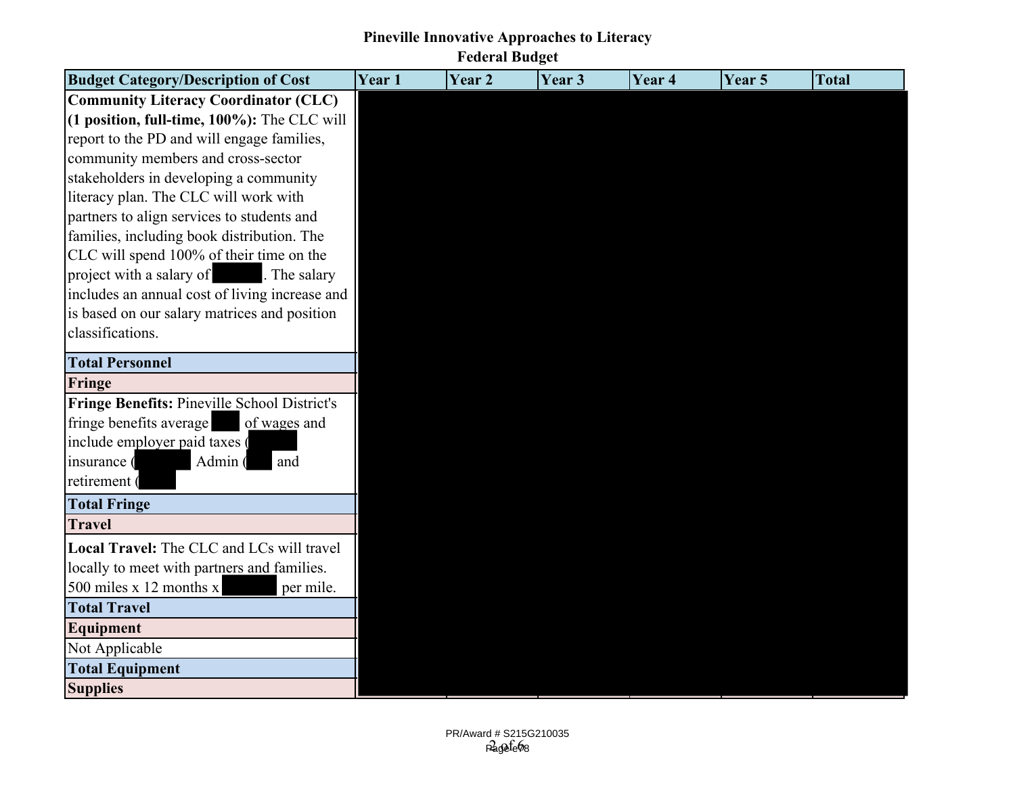### **Pineville Innovative Approaches to Literacy**

**Federal Budget**

| <b>Budget Category/Description of Cost</b>          | Year 1 | Year <sub>2</sub> | Year 3 | Year <sub>4</sub> | Year 5 | <b>Total</b> |
|-----------------------------------------------------|--------|-------------------|--------|-------------------|--------|--------------|
| <b>Community Literacy Coordinator (CLC)</b>         |        |                   |        |                   |        |              |
| $(1$ position, full-time, $100\%$ ): The CLC will   |        |                   |        |                   |        |              |
| report to the PD and will engage families,          |        |                   |        |                   |        |              |
| community members and cross-sector                  |        |                   |        |                   |        |              |
| stakeholders in developing a community              |        |                   |        |                   |        |              |
| literacy plan. The CLC will work with               |        |                   |        |                   |        |              |
| partners to align services to students and          |        |                   |        |                   |        |              |
| families, including book distribution. The          |        |                   |        |                   |        |              |
| CLC will spend 100% of their time on the            |        |                   |        |                   |        |              |
| project with a salary of<br>. The salary            |        |                   |        |                   |        |              |
| includes an annual cost of living increase and      |        |                   |        |                   |        |              |
| is based on our salary matrices and position        |        |                   |        |                   |        |              |
| classifications.                                    |        |                   |        |                   |        |              |
| <b>Total Personnel</b>                              |        |                   |        |                   |        |              |
| Fringe                                              |        |                   |        |                   |        |              |
| <b>Fringe Benefits: Pineville School District's</b> |        |                   |        |                   |        |              |
| fringe benefits average<br>of wages and             |        |                   |        |                   |        |              |
| include employer paid taxes (                       |        |                   |        |                   |        |              |
| Admin (<br>and<br>insurance (                       |        |                   |        |                   |        |              |
| retirement (                                        |        |                   |        |                   |        |              |
| <b>Total Fringe</b>                                 |        |                   |        |                   |        |              |
| <b>Travel</b>                                       |        |                   |        |                   |        |              |
| Local Travel: The CLC and LCs will travel           |        |                   |        |                   |        |              |
| locally to meet with partners and families.         |        |                   |        |                   |        |              |
| 500 miles $x$ 12 months $x$<br>per mile.            |        |                   |        |                   |        |              |
| <b>Total Travel</b>                                 |        |                   |        |                   |        |              |
| Equipment                                           |        |                   |        |                   |        |              |
| Not Applicable                                      |        |                   |        |                   |        |              |
| <b>Total Equipment</b>                              |        |                   |        |                   |        |              |
| <b>Supplies</b>                                     |        |                   |        |                   |        |              |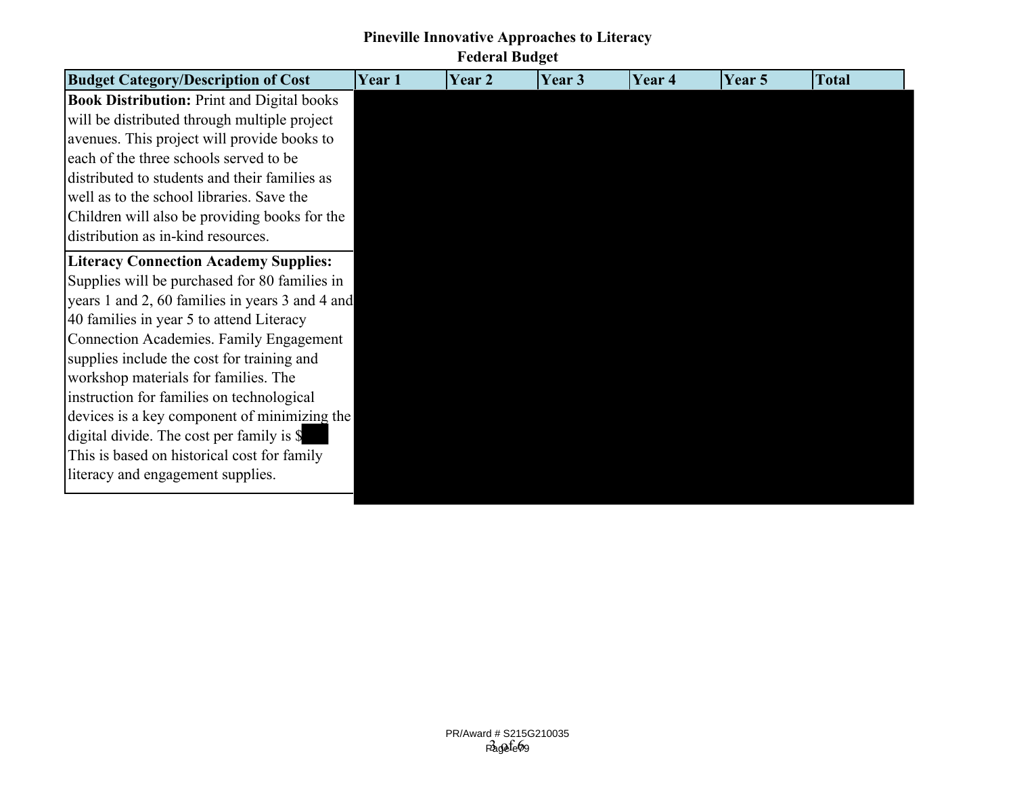# **Pineville Innovative Approaches to Literacy**

**Federal Budget**

| <b>Budget Category/Description of Cost</b>        | Year 1 | Year <sub>2</sub> | Year 3 | Year 4 | Year 5 | <b>Total</b> |
|---------------------------------------------------|--------|-------------------|--------|--------|--------|--------------|
| <b>Book Distribution: Print and Digital books</b> |        |                   |        |        |        |              |
| will be distributed through multiple project      |        |                   |        |        |        |              |
| avenues. This project will provide books to       |        |                   |        |        |        |              |
| each of the three schools served to be            |        |                   |        |        |        |              |
| distributed to students and their families as     |        |                   |        |        |        |              |
| well as to the school libraries. Save the         |        |                   |        |        |        |              |
| Children will also be providing books for the     |        |                   |        |        |        |              |
| distribution as in-kind resources.                |        |                   |        |        |        |              |
| <b>Literacy Connection Academy Supplies:</b>      |        |                   |        |        |        |              |
| Supplies will be purchased for 80 families in     |        |                   |        |        |        |              |
| years 1 and 2, 60 families in years 3 and 4 and   |        |                   |        |        |        |              |
| 40 families in year 5 to attend Literacy          |        |                   |        |        |        |              |
| <b>Connection Academies. Family Engagement</b>    |        |                   |        |        |        |              |
| supplies include the cost for training and        |        |                   |        |        |        |              |
| workshop materials for families. The              |        |                   |        |        |        |              |
| instruction for families on technological         |        |                   |        |        |        |              |
| devices is a key component of minimizing the      |        |                   |        |        |        |              |
| digital divide. The cost per family is \$         |        |                   |        |        |        |              |
| This is based on historical cost for family       |        |                   |        |        |        |              |
| literacy and engagement supplies.                 |        |                   |        |        |        |              |
|                                                   |        |                   |        |        |        |              |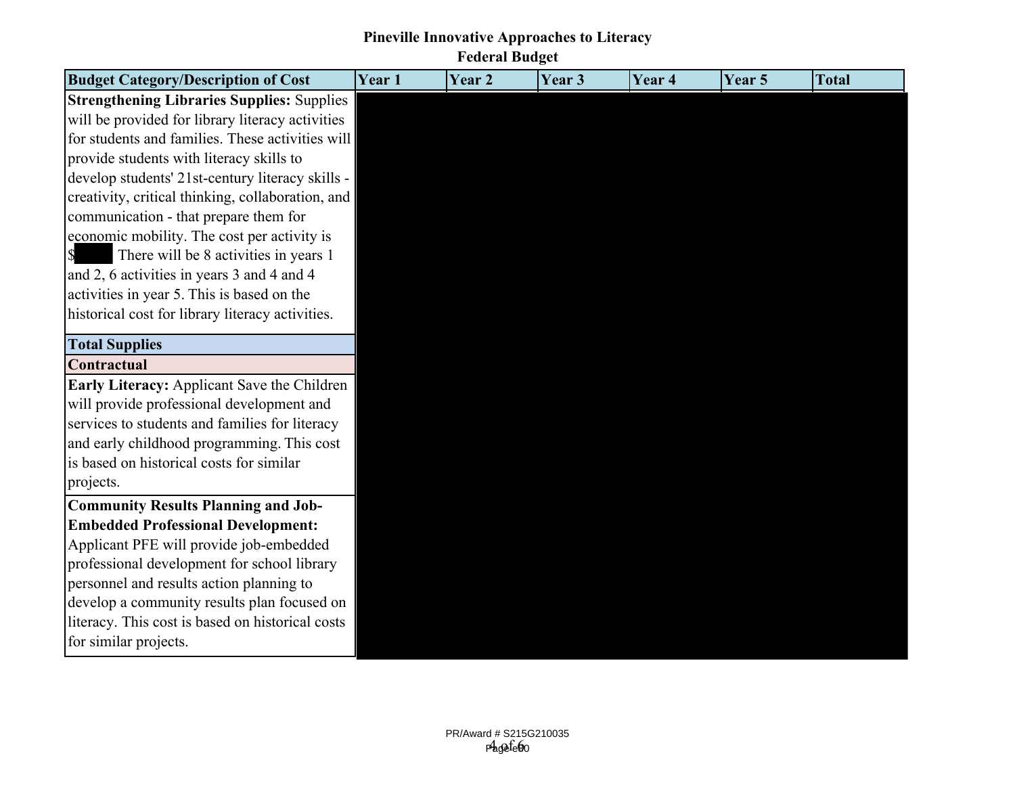### **Pineville Innovative Approaches to Literacy Federal Budget**

| <b>Budget Category/Description of Cost</b>        | Year 1 | Year 2 | Year 3 | Year 4 | Year 5 | <b>Total</b> |
|---------------------------------------------------|--------|--------|--------|--------|--------|--------------|
| <b>Strengthening Libraries Supplies: Supplies</b> |        |        |        |        |        |              |
| will be provided for library literacy activities  |        |        |        |        |        |              |
| for students and families. These activities will  |        |        |        |        |        |              |
| provide students with literacy skills to          |        |        |        |        |        |              |
| develop students' 21st-century literacy skills -  |        |        |        |        |        |              |
| creativity, critical thinking, collaboration, and |        |        |        |        |        |              |
| communication - that prepare them for             |        |        |        |        |        |              |
| economic mobility. The cost per activity is       |        |        |        |        |        |              |
| There will be 8 activities in years 1<br>\$       |        |        |        |        |        |              |
| and 2, 6 activities in years 3 and 4 and 4        |        |        |        |        |        |              |
| activities in year 5. This is based on the        |        |        |        |        |        |              |
| historical cost for library literacy activities.  |        |        |        |        |        |              |
| <b>Total Supplies</b>                             |        |        |        |        |        |              |
| Contractual                                       |        |        |        |        |        |              |
| Early Literacy: Applicant Save the Children       |        |        |        |        |        |              |
| will provide professional development and         |        |        |        |        |        |              |
| services to students and families for literacy    |        |        |        |        |        |              |
| and early childhood programming. This cost        |        |        |        |        |        |              |
| is based on historical costs for similar          |        |        |        |        |        |              |
| projects.                                         |        |        |        |        |        |              |
| <b>Community Results Planning and Job-</b>        |        |        |        |        |        |              |
| <b>Embedded Professional Development:</b>         |        |        |        |        |        |              |
| Applicant PFE will provide job-embedded           |        |        |        |        |        |              |
| professional development for school library       |        |        |        |        |        |              |
| personnel and results action planning to          |        |        |        |        |        |              |
| develop a community results plan focused on       |        |        |        |        |        |              |
| literacy. This cost is based on historical costs  |        |        |        |        |        |              |
| for similar projects.                             |        |        |        |        |        |              |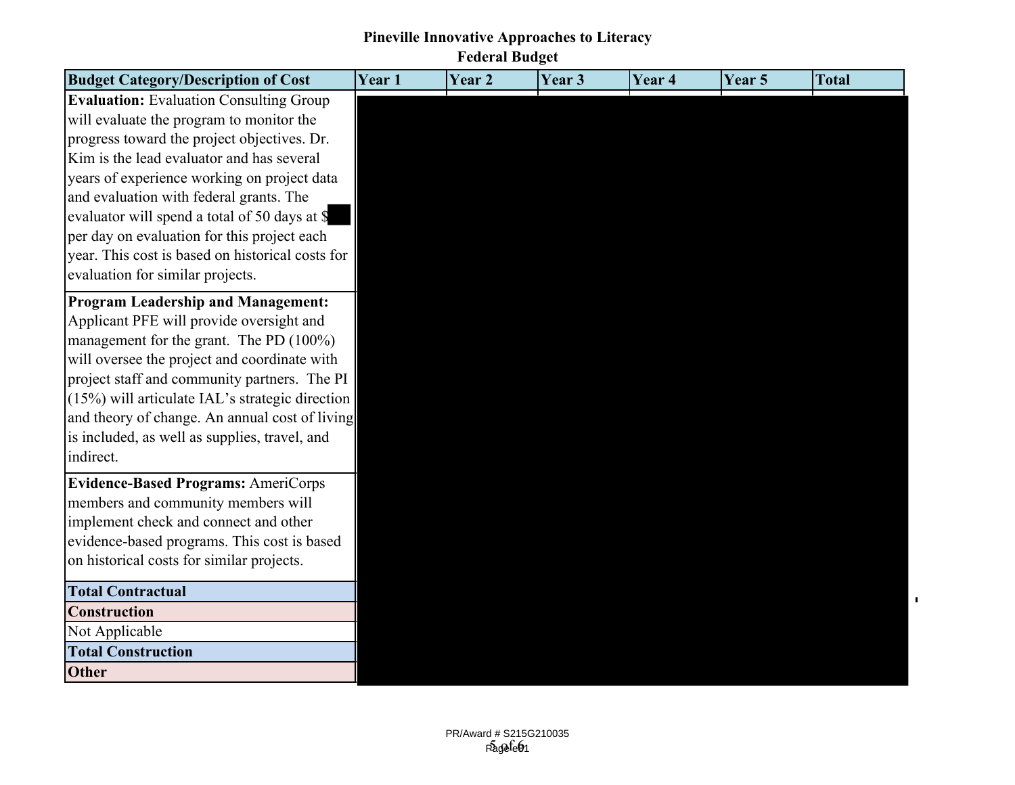## **Pineville Innovative Approaches to Literacy Federal Budget**

| <b>Budget Category/Description of Cost</b>       | Year 1 | Year 2 | Year <sub>3</sub> | Year <sub>4</sub> | Year 5 | <b>Total</b> |
|--------------------------------------------------|--------|--------|-------------------|-------------------|--------|--------------|
| <b>Evaluation:</b> Evaluation Consulting Group   |        |        |                   |                   |        |              |
| will evaluate the program to monitor the         |        |        |                   |                   |        |              |
| progress toward the project objectives. Dr.      |        |        |                   |                   |        |              |
| Kim is the lead evaluator and has several        |        |        |                   |                   |        |              |
| years of experience working on project data      |        |        |                   |                   |        |              |
| and evaluation with federal grants. The          |        |        |                   |                   |        |              |
| evaluator will spend a total of 50 days at \$    |        |        |                   |                   |        |              |
| per day on evaluation for this project each      |        |        |                   |                   |        |              |
| year. This cost is based on historical costs for |        |        |                   |                   |        |              |
| evaluation for similar projects.                 |        |        |                   |                   |        |              |
| <b>Program Leadership and Management:</b>        |        |        |                   |                   |        |              |
| Applicant PFE will provide oversight and         |        |        |                   |                   |        |              |
| management for the grant. The PD (100%)          |        |        |                   |                   |        |              |
| will oversee the project and coordinate with     |        |        |                   |                   |        |              |
| project staff and community partners. The PI     |        |        |                   |                   |        |              |
| (15%) will articulate IAL's strategic direction  |        |        |                   |                   |        |              |
| and theory of change. An annual cost of living   |        |        |                   |                   |        |              |
| is included, as well as supplies, travel, and    |        |        |                   |                   |        |              |
| indirect.                                        |        |        |                   |                   |        |              |
| <b>Evidence-Based Programs: AmeriCorps</b>       |        |        |                   |                   |        |              |
| members and community members will               |        |        |                   |                   |        |              |
| implement check and connect and other            |        |        |                   |                   |        |              |
| evidence-based programs. This cost is based      |        |        |                   |                   |        |              |
| on historical costs for similar projects.        |        |        |                   |                   |        |              |
| <b>Total Contractual</b>                         |        |        |                   |                   |        |              |
| <b>Construction</b>                              |        |        |                   |                   |        |              |
| Not Applicable                                   |        |        |                   |                   |        |              |
| <b>Total Construction</b>                        |        |        |                   |                   |        |              |
| Other                                            |        |        |                   |                   |        |              |

 $\mathbf{I}$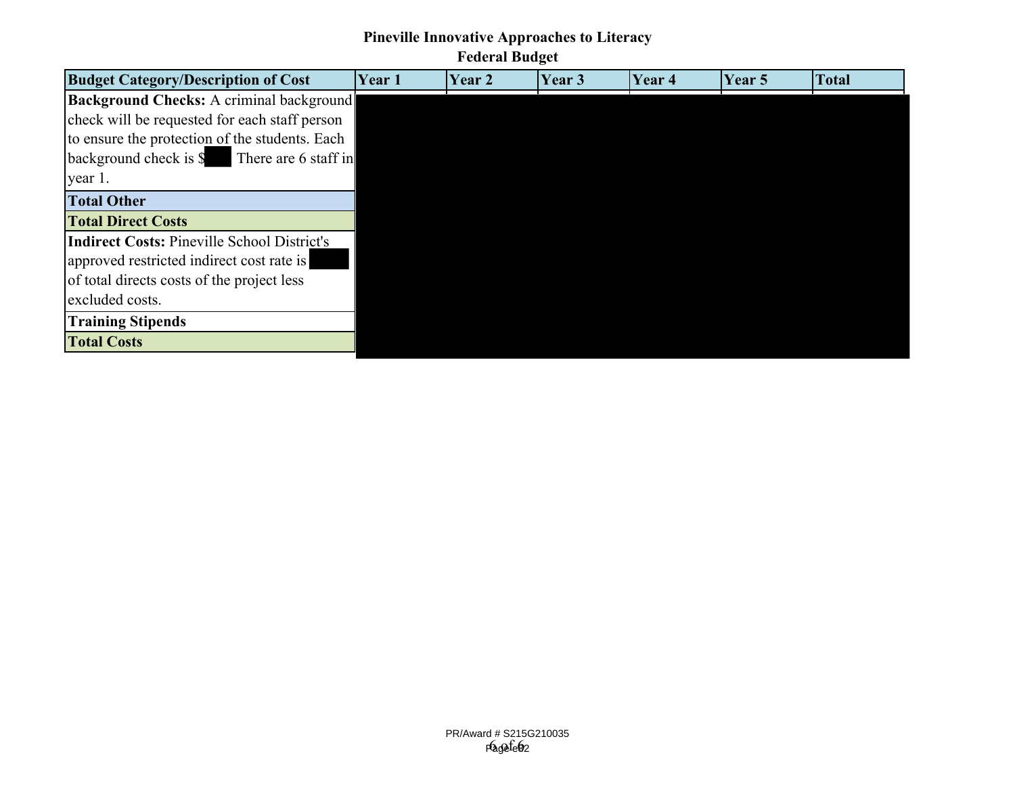### **Pineville Innovative Approaches to Literacy**

## **Federal Budget**

| <b>Budget Category/Description of Cost</b>               | <b>Year 1</b> | Year 2 | Year 3 | Year 4 | Year 5 | <b>Total</b> |
|----------------------------------------------------------|---------------|--------|--------|--------|--------|--------------|
| Background Checks: A criminal background                 |               |        |        |        |        |              |
| check will be requested for each staff person            |               |        |        |        |        |              |
| to ensure the protection of the students. Each           |               |        |        |        |        |              |
| $\beta$ background check is $\beta$ There are 6 staff in |               |        |        |        |        |              |
| year 1.                                                  |               |        |        |        |        |              |
| <b>Total Other</b>                                       |               |        |        |        |        |              |
| <b>Total Direct Costs</b>                                |               |        |        |        |        |              |
| <b>Indirect Costs: Pineville School District's</b>       |               |        |        |        |        |              |
| approved restricted indirect cost rate is                |               |        |        |        |        |              |
| of total directs costs of the project less               |               |        |        |        |        |              |
| excluded costs.                                          |               |        |        |        |        |              |
| <b>Training Stipends</b>                                 |               |        |        |        |        |              |
| <b>Total Costs</b>                                       |               |        |        |        |        |              |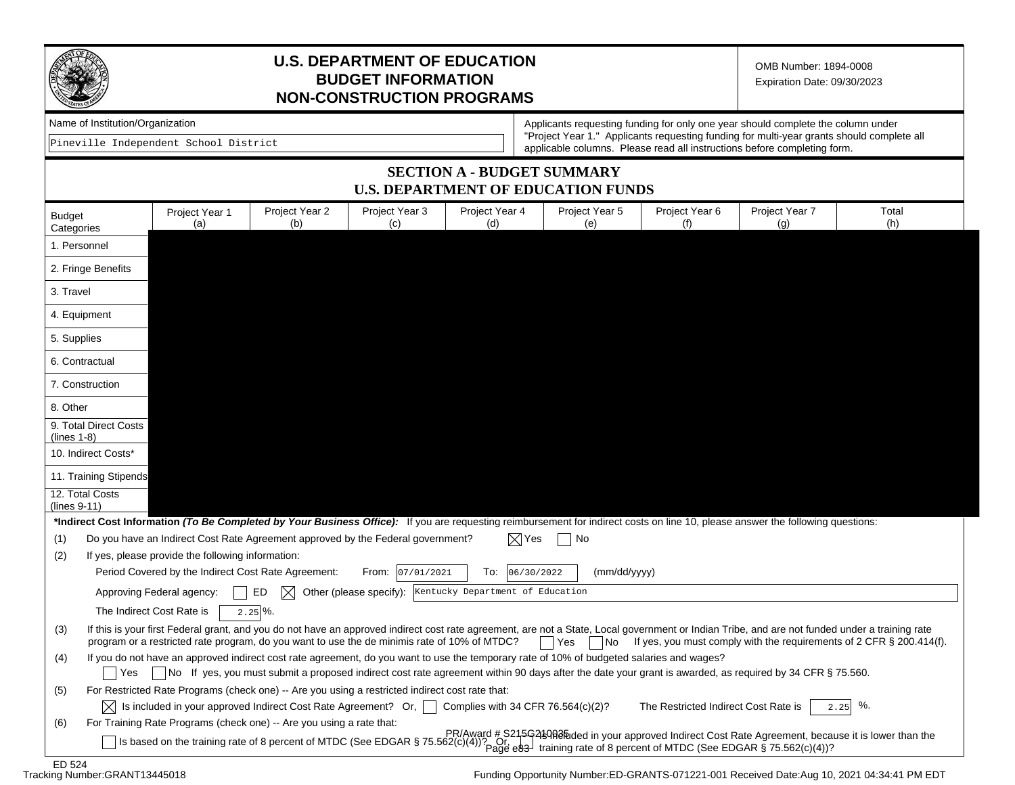

#### **U.S. DEPARTMENT OF EDUCATION BUDGET INFORMATION NON-CONSTRUCTION PROGRAMS**

OMB Number: 1894-0008 Expiration Date: 09/30/2023

|  | Name of Institution/Organization |
|--|----------------------------------|
|--|----------------------------------|

Pineville Independent School District

Applicants requesting funding for only one year should complete the column under "Project Year 1." Applicants requesting funding for multi-year grants should complete all applicable columns. Please read all instructions before completing form.

#### **SECTION A - BUDGET SUMMARY U.S. DEPARTMENT OF EDUCATION FUNDS**

| 1. Personnel<br>2. Fringe Benefits<br>3. Travel<br>4. Equipment<br>5. Supplies<br>6. Contractual<br>7. Construction<br>8. Other<br>9. Total Direct Costs<br>$(lines 1-8)$<br>10. Indirect Costs*<br>11. Training Stipends<br>12. Total Costs<br>$(lines 9-11)$<br>*Indirect Cost Information (To Be Completed by Your Business Office): If you are requesting reimbursement for indirect costs on line 10, please answer the following questions:<br>Do you have an Indirect Cost Rate Agreement approved by the Federal government?<br>$\boxtimes$ Yes<br>(1)<br>No<br>If yes, please provide the following information:<br>(2)<br>Period Covered by the Indirect Cost Rate Agreement:<br>From: 07/01/2021<br>To:<br>06/30/2022<br>(mm/dd/yyyy)<br>Approving Federal agency:<br>ED<br>M<br>Other (please specify): Kentucky Department of Education<br>The Indirect Cost Rate is<br>$2.25\%$ .<br>If this is your first Federal grant, and you do not have an approved indirect cost rate agreement, are not a State, Local government or Indian Tribe, and are not funded under a training rate<br>(3)<br>program or a restricted rate program, do you want to use the de minimis rate of 10% of MTDC?<br>If yes, you must comply with the requirements of 2 CFR § 200.414(f).<br>Yes<br>  No<br>If you do not have an approved indirect cost rate agreement, do you want to use the temporary rate of 10% of budgeted salaries and wages?<br>(4)<br>No If yes, you must submit a proposed indirect cost rate agreement within 90 days after the date your grant is awarded, as required by 34 CFR § 75.560.<br>l Yes<br>For Restricted Rate Programs (check one) -- Are you using a restricted indirect cost rate that:<br>(5)<br>%.<br>$\vert\chi\vert$ Is included in your approved Indirect Cost Rate Agreement? Or, $\vert\;\;\vert$<br>Complies with 34 CFR 76.564(c)(2)?<br>The Restricted Indirect Cost Rate is<br>2.25<br>For Training Rate Programs (check one) -- Are you using a rate that:<br>(6) | <b>Budget</b><br>Categories | Project Year 1<br>(a) | Project Year 2<br>(b) | Project Year 3<br>(c) | Project Year 4<br>(d) | Project Year 5<br>(e) | Project Year 6<br>(f) | Project Year 7<br>(g) | Total<br>(h) |
|------------------------------------------------------------------------------------------------------------------------------------------------------------------------------------------------------------------------------------------------------------------------------------------------------------------------------------------------------------------------------------------------------------------------------------------------------------------------------------------------------------------------------------------------------------------------------------------------------------------------------------------------------------------------------------------------------------------------------------------------------------------------------------------------------------------------------------------------------------------------------------------------------------------------------------------------------------------------------------------------------------------------------------------------------------------------------------------------------------------------------------------------------------------------------------------------------------------------------------------------------------------------------------------------------------------------------------------------------------------------------------------------------------------------------------------------------------------------------------------------------------------------------------------------------------------------------------------------------------------------------------------------------------------------------------------------------------------------------------------------------------------------------------------------------------------------------------------------------------------------------------------------------------------------------------------------------------------------------------------------------------------|-----------------------------|-----------------------|-----------------------|-----------------------|-----------------------|-----------------------|-----------------------|-----------------------|--------------|
|                                                                                                                                                                                                                                                                                                                                                                                                                                                                                                                                                                                                                                                                                                                                                                                                                                                                                                                                                                                                                                                                                                                                                                                                                                                                                                                                                                                                                                                                                                                                                                                                                                                                                                                                                                                                                                                                                                                                                                                                                  |                             |                       |                       |                       |                       |                       |                       |                       |              |
|                                                                                                                                                                                                                                                                                                                                                                                                                                                                                                                                                                                                                                                                                                                                                                                                                                                                                                                                                                                                                                                                                                                                                                                                                                                                                                                                                                                                                                                                                                                                                                                                                                                                                                                                                                                                                                                                                                                                                                                                                  |                             |                       |                       |                       |                       |                       |                       |                       |              |
|                                                                                                                                                                                                                                                                                                                                                                                                                                                                                                                                                                                                                                                                                                                                                                                                                                                                                                                                                                                                                                                                                                                                                                                                                                                                                                                                                                                                                                                                                                                                                                                                                                                                                                                                                                                                                                                                                                                                                                                                                  |                             |                       |                       |                       |                       |                       |                       |                       |              |
|                                                                                                                                                                                                                                                                                                                                                                                                                                                                                                                                                                                                                                                                                                                                                                                                                                                                                                                                                                                                                                                                                                                                                                                                                                                                                                                                                                                                                                                                                                                                                                                                                                                                                                                                                                                                                                                                                                                                                                                                                  |                             |                       |                       |                       |                       |                       |                       |                       |              |
|                                                                                                                                                                                                                                                                                                                                                                                                                                                                                                                                                                                                                                                                                                                                                                                                                                                                                                                                                                                                                                                                                                                                                                                                                                                                                                                                                                                                                                                                                                                                                                                                                                                                                                                                                                                                                                                                                                                                                                                                                  |                             |                       |                       |                       |                       |                       |                       |                       |              |
|                                                                                                                                                                                                                                                                                                                                                                                                                                                                                                                                                                                                                                                                                                                                                                                                                                                                                                                                                                                                                                                                                                                                                                                                                                                                                                                                                                                                                                                                                                                                                                                                                                                                                                                                                                                                                                                                                                                                                                                                                  |                             |                       |                       |                       |                       |                       |                       |                       |              |
|                                                                                                                                                                                                                                                                                                                                                                                                                                                                                                                                                                                                                                                                                                                                                                                                                                                                                                                                                                                                                                                                                                                                                                                                                                                                                                                                                                                                                                                                                                                                                                                                                                                                                                                                                                                                                                                                                                                                                                                                                  |                             |                       |                       |                       |                       |                       |                       |                       |              |
|                                                                                                                                                                                                                                                                                                                                                                                                                                                                                                                                                                                                                                                                                                                                                                                                                                                                                                                                                                                                                                                                                                                                                                                                                                                                                                                                                                                                                                                                                                                                                                                                                                                                                                                                                                                                                                                                                                                                                                                                                  |                             |                       |                       |                       |                       |                       |                       |                       |              |
|                                                                                                                                                                                                                                                                                                                                                                                                                                                                                                                                                                                                                                                                                                                                                                                                                                                                                                                                                                                                                                                                                                                                                                                                                                                                                                                                                                                                                                                                                                                                                                                                                                                                                                                                                                                                                                                                                                                                                                                                                  |                             |                       |                       |                       |                       |                       |                       |                       |              |
|                                                                                                                                                                                                                                                                                                                                                                                                                                                                                                                                                                                                                                                                                                                                                                                                                                                                                                                                                                                                                                                                                                                                                                                                                                                                                                                                                                                                                                                                                                                                                                                                                                                                                                                                                                                                                                                                                                                                                                                                                  |                             |                       |                       |                       |                       |                       |                       |                       |              |
|                                                                                                                                                                                                                                                                                                                                                                                                                                                                                                                                                                                                                                                                                                                                                                                                                                                                                                                                                                                                                                                                                                                                                                                                                                                                                                                                                                                                                                                                                                                                                                                                                                                                                                                                                                                                                                                                                                                                                                                                                  |                             |                       |                       |                       |                       |                       |                       |                       |              |
|                                                                                                                                                                                                                                                                                                                                                                                                                                                                                                                                                                                                                                                                                                                                                                                                                                                                                                                                                                                                                                                                                                                                                                                                                                                                                                                                                                                                                                                                                                                                                                                                                                                                                                                                                                                                                                                                                                                                                                                                                  |                             |                       |                       |                       |                       |                       |                       |                       |              |
|                                                                                                                                                                                                                                                                                                                                                                                                                                                                                                                                                                                                                                                                                                                                                                                                                                                                                                                                                                                                                                                                                                                                                                                                                                                                                                                                                                                                                                                                                                                                                                                                                                                                                                                                                                                                                                                                                                                                                                                                                  |                             |                       |                       |                       |                       |                       |                       |                       |              |
|                                                                                                                                                                                                                                                                                                                                                                                                                                                                                                                                                                                                                                                                                                                                                                                                                                                                                                                                                                                                                                                                                                                                                                                                                                                                                                                                                                                                                                                                                                                                                                                                                                                                                                                                                                                                                                                                                                                                                                                                                  |                             |                       |                       |                       |                       |                       |                       |                       |              |
|                                                                                                                                                                                                                                                                                                                                                                                                                                                                                                                                                                                                                                                                                                                                                                                                                                                                                                                                                                                                                                                                                                                                                                                                                                                                                                                                                                                                                                                                                                                                                                                                                                                                                                                                                                                                                                                                                                                                                                                                                  |                             |                       |                       |                       |                       |                       |                       |                       |              |
|                                                                                                                                                                                                                                                                                                                                                                                                                                                                                                                                                                                                                                                                                                                                                                                                                                                                                                                                                                                                                                                                                                                                                                                                                                                                                                                                                                                                                                                                                                                                                                                                                                                                                                                                                                                                                                                                                                                                                                                                                  |                             |                       |                       |                       |                       |                       |                       |                       |              |
|                                                                                                                                                                                                                                                                                                                                                                                                                                                                                                                                                                                                                                                                                                                                                                                                                                                                                                                                                                                                                                                                                                                                                                                                                                                                                                                                                                                                                                                                                                                                                                                                                                                                                                                                                                                                                                                                                                                                                                                                                  |                             |                       |                       |                       |                       |                       |                       |                       |              |
|                                                                                                                                                                                                                                                                                                                                                                                                                                                                                                                                                                                                                                                                                                                                                                                                                                                                                                                                                                                                                                                                                                                                                                                                                                                                                                                                                                                                                                                                                                                                                                                                                                                                                                                                                                                                                                                                                                                                                                                                                  |                             |                       |                       |                       |                       |                       |                       |                       |              |
|                                                                                                                                                                                                                                                                                                                                                                                                                                                                                                                                                                                                                                                                                                                                                                                                                                                                                                                                                                                                                                                                                                                                                                                                                                                                                                                                                                                                                                                                                                                                                                                                                                                                                                                                                                                                                                                                                                                                                                                                                  |                             |                       |                       |                       |                       |                       |                       |                       |              |
|                                                                                                                                                                                                                                                                                                                                                                                                                                                                                                                                                                                                                                                                                                                                                                                                                                                                                                                                                                                                                                                                                                                                                                                                                                                                                                                                                                                                                                                                                                                                                                                                                                                                                                                                                                                                                                                                                                                                                                                                                  |                             |                       |                       |                       |                       |                       |                       |                       |              |
|                                                                                                                                                                                                                                                                                                                                                                                                                                                                                                                                                                                                                                                                                                                                                                                                                                                                                                                                                                                                                                                                                                                                                                                                                                                                                                                                                                                                                                                                                                                                                                                                                                                                                                                                                                                                                                                                                                                                                                                                                  |                             |                       |                       |                       |                       |                       |                       |                       |              |
|                                                                                                                                                                                                                                                                                                                                                                                                                                                                                                                                                                                                                                                                                                                                                                                                                                                                                                                                                                                                                                                                                                                                                                                                                                                                                                                                                                                                                                                                                                                                                                                                                                                                                                                                                                                                                                                                                                                                                                                                                  |                             |                       |                       |                       |                       |                       |                       |                       |              |
|                                                                                                                                                                                                                                                                                                                                                                                                                                                                                                                                                                                                                                                                                                                                                                                                                                                                                                                                                                                                                                                                                                                                                                                                                                                                                                                                                                                                                                                                                                                                                                                                                                                                                                                                                                                                                                                                                                                                                                                                                  |                             |                       |                       |                       |                       |                       |                       |                       |              |
| PR/Award # S215G219QB@ded in your approved Indirect Cost Rate Agreement, because it is lower than the                                                                                                                                                                                                                                                                                                                                                                                                                                                                                                                                                                                                                                                                                                                                                                                                                                                                                                                                                                                                                                                                                                                                                                                                                                                                                                                                                                                                                                                                                                                                                                                                                                                                                                                                                                                                                                                                                                            |                             |                       |                       |                       |                       |                       |                       |                       |              |
| Is based on the training rate of 8 percent of MTDC (See EDGAR § 75.562(c)(4))? Or and training rate of 8 percent of MTDC (See EDGAR § 75.562(c)(4))?                                                                                                                                                                                                                                                                                                                                                                                                                                                                                                                                                                                                                                                                                                                                                                                                                                                                                                                                                                                                                                                                                                                                                                                                                                                                                                                                                                                                                                                                                                                                                                                                                                                                                                                                                                                                                                                             |                             |                       |                       |                       |                       |                       |                       |                       |              |

ED 524<br>Tracking Number:GRANT13445018

Funding Opportunity Number:ED-GRANTS-071221-001 Received Date:Aug 10, 2021 04:34:41 PM EDT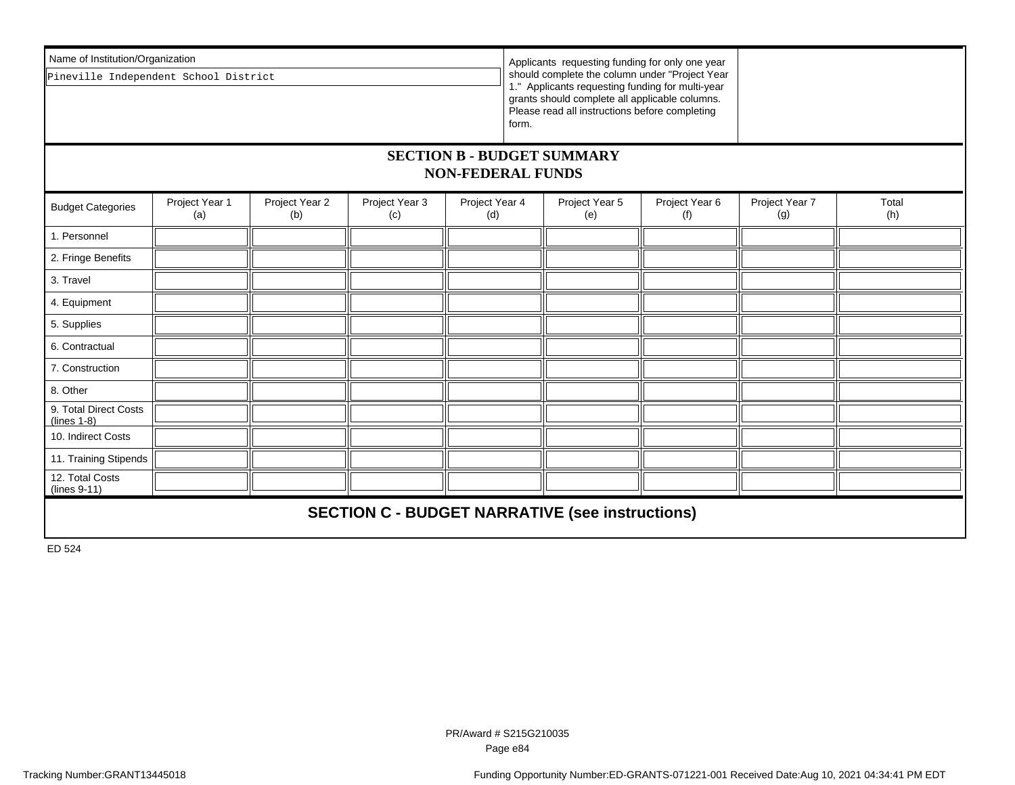| Name of Institution/Organization<br>Applicants requesting funding for only one year |                                                                                                  |  |  |                       |                       |                                                                                                                                                                                                                 |              |  |  |  |  |  |
|-------------------------------------------------------------------------------------|--------------------------------------------------------------------------------------------------|--|--|-----------------------|-----------------------|-----------------------------------------------------------------------------------------------------------------------------------------------------------------------------------------------------------------|--------------|--|--|--|--|--|
| Pineville Independent School District                                               |                                                                                                  |  |  |                       |                       | should complete the column under "Project Year<br>1." Applicants requesting funding for multi-year<br>grants should complete all applicable columns.<br>Please read all instructions before completing<br>form. |              |  |  |  |  |  |
|                                                                                     | <b>SECTION B - BUDGET SUMMARY</b><br><b>NON-FEDERAL FUNDS</b>                                    |  |  |                       |                       |                                                                                                                                                                                                                 |              |  |  |  |  |  |
| <b>Budget Categories</b>                                                            | Project Year 1<br>Project Year 2<br>Project Year 3<br>Project Year 4<br>(b)<br>(c)<br>(d)<br>(a) |  |  | Project Year 5<br>(e) | Project Year 6<br>(f) | Project Year 7<br>(g)                                                                                                                                                                                           | Total<br>(h) |  |  |  |  |  |
| 1. Personnel                                                                        |                                                                                                  |  |  |                       |                       |                                                                                                                                                                                                                 |              |  |  |  |  |  |
| 2. Fringe Benefits                                                                  |                                                                                                  |  |  |                       |                       |                                                                                                                                                                                                                 |              |  |  |  |  |  |
| 3. Travel                                                                           |                                                                                                  |  |  |                       |                       |                                                                                                                                                                                                                 |              |  |  |  |  |  |
| 4. Equipment                                                                        |                                                                                                  |  |  |                       |                       |                                                                                                                                                                                                                 |              |  |  |  |  |  |
| 5. Supplies                                                                         |                                                                                                  |  |  |                       |                       |                                                                                                                                                                                                                 |              |  |  |  |  |  |
| 6. Contractual                                                                      |                                                                                                  |  |  |                       |                       |                                                                                                                                                                                                                 |              |  |  |  |  |  |
| 7. Construction                                                                     |                                                                                                  |  |  |                       |                       |                                                                                                                                                                                                                 |              |  |  |  |  |  |
| 8. Other                                                                            |                                                                                                  |  |  |                       |                       |                                                                                                                                                                                                                 |              |  |  |  |  |  |
| 9. Total Direct Costs<br>$(lines 1-8)$                                              |                                                                                                  |  |  |                       |                       |                                                                                                                                                                                                                 |              |  |  |  |  |  |
| 10. Indirect Costs                                                                  |                                                                                                  |  |  |                       |                       |                                                                                                                                                                                                                 |              |  |  |  |  |  |
| 11. Training Stipends                                                               |                                                                                                  |  |  |                       |                       |                                                                                                                                                                                                                 |              |  |  |  |  |  |
| 12. Total Costs<br>(lines 9-11)                                                     |                                                                                                  |  |  |                       |                       |                                                                                                                                                                                                                 |              |  |  |  |  |  |
| <b>SECTION C - BUDGET NARRATIVE (see instructions)</b>                              |                                                                                                  |  |  |                       |                       |                                                                                                                                                                                                                 |              |  |  |  |  |  |

ED 524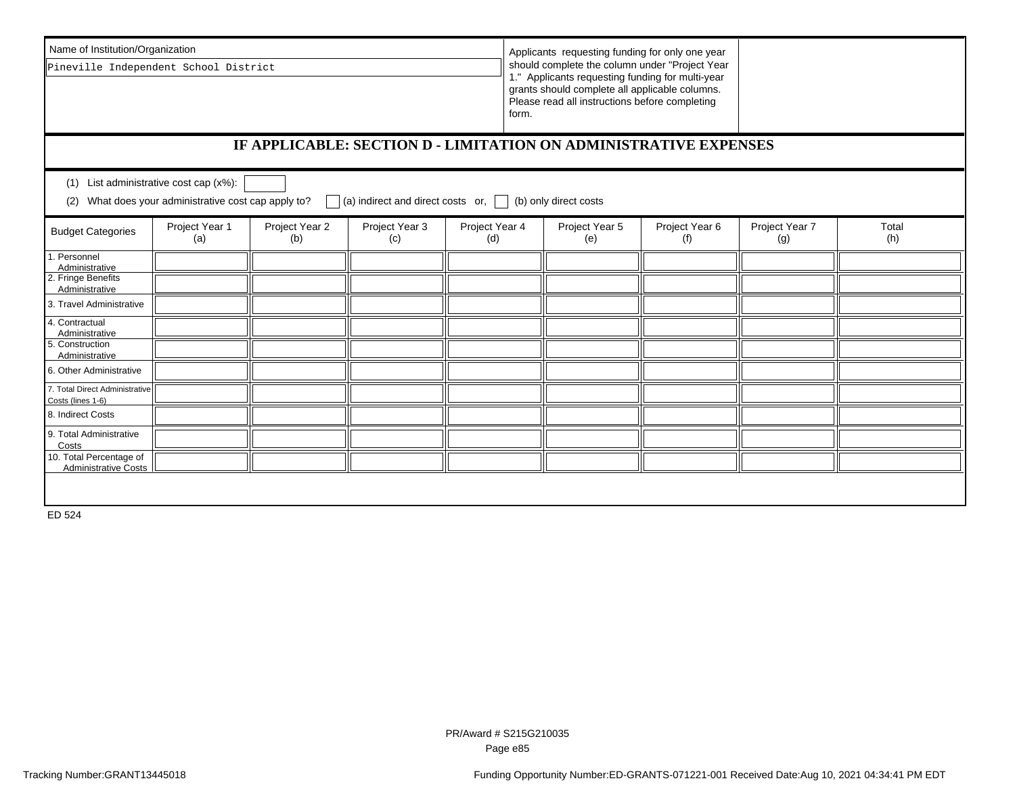| Name of Institution/Organization                                    |                                                                                                  | Applicants requesting funding for only one year |                                                |  |                       |                                                                                                                                                                                                                 |              |  |  |  |  |
|---------------------------------------------------------------------|--------------------------------------------------------------------------------------------------|-------------------------------------------------|------------------------------------------------|--|-----------------------|-----------------------------------------------------------------------------------------------------------------------------------------------------------------------------------------------------------------|--------------|--|--|--|--|
| Pineville Independent School District                               |                                                                                                  |                                                 |                                                |  |                       | should complete the column under "Project Year<br>1." Applicants requesting funding for multi-year<br>grants should complete all applicable columns.<br>Please read all instructions before completing<br>form. |              |  |  |  |  |
| IF APPLICABLE: SECTION D - LIMITATION ON ADMINISTRATIVE EXPENSES    |                                                                                                  |                                                 |                                                |  |                       |                                                                                                                                                                                                                 |              |  |  |  |  |
| (1) List administrative cost cap $(x\%)$ :                          |                                                                                                  |                                                 |                                                |  |                       |                                                                                                                                                                                                                 |              |  |  |  |  |
| (2)                                                                 | What does your administrative cost cap apply to?                                                 |                                                 | (a) indirect and direct costs or, $\Box$       |  | (b) only direct costs |                                                                                                                                                                                                                 |              |  |  |  |  |
| <b>Budget Categories</b>                                            | Project Year 3<br>Project Year 1<br>Project Year 2<br>Project Year 4<br>(a)<br>(b)<br>(c)<br>(d) |                                                 | Project Year 5<br>Project Year 6<br>(e)<br>(f) |  |                       | Project Year 7<br>(g)                                                                                                                                                                                           | Total<br>(h) |  |  |  |  |
| Personnel<br>Administrative<br>2. Fringe Benefits<br>Administrative |                                                                                                  |                                                 |                                                |  |                       |                                                                                                                                                                                                                 |              |  |  |  |  |
| 3. Travel Administrative                                            |                                                                                                  |                                                 |                                                |  |                       |                                                                                                                                                                                                                 |              |  |  |  |  |
| 4. Contractual<br>Administrative                                    |                                                                                                  |                                                 |                                                |  |                       |                                                                                                                                                                                                                 |              |  |  |  |  |
| 5. Construction<br>Administrative                                   |                                                                                                  |                                                 |                                                |  |                       |                                                                                                                                                                                                                 |              |  |  |  |  |
| 6. Other Administrative                                             |                                                                                                  |                                                 |                                                |  |                       |                                                                                                                                                                                                                 |              |  |  |  |  |
| 7. Total Direct Administrative<br>Costs (lines 1-6)                 |                                                                                                  |                                                 |                                                |  |                       |                                                                                                                                                                                                                 |              |  |  |  |  |
| 8. Indirect Costs                                                   |                                                                                                  |                                                 |                                                |  |                       |                                                                                                                                                                                                                 |              |  |  |  |  |
| 9. Total Administrative<br>Costs                                    |                                                                                                  |                                                 |                                                |  |                       |                                                                                                                                                                                                                 |              |  |  |  |  |
| 10. Total Percentage of<br><b>Administrative Costs</b>              |                                                                                                  |                                                 |                                                |  |                       |                                                                                                                                                                                                                 |              |  |  |  |  |
|                                                                     |                                                                                                  |                                                 |                                                |  |                       |                                                                                                                                                                                                                 |              |  |  |  |  |
| ED 524                                                              |                                                                                                  |                                                 |                                                |  |                       |                                                                                                                                                                                                                 |              |  |  |  |  |